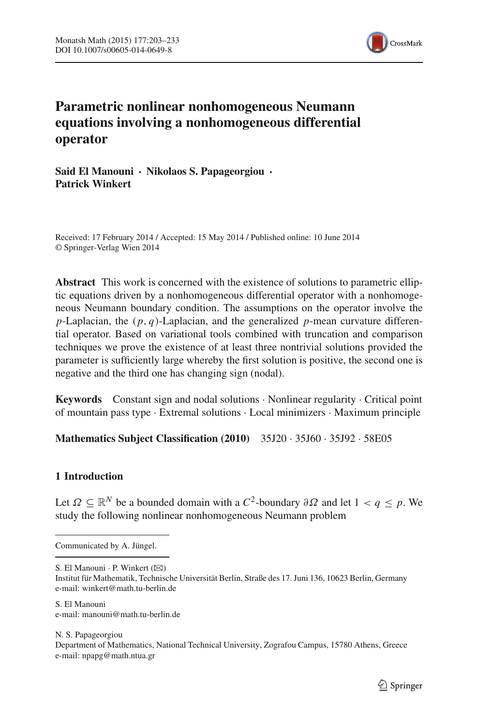

# **Parametric nonlinear nonhomogeneous Neumann equations involving a nonhomogeneous differential operator**

**Said El Manouni · Nikolaos S. Papageorgiou · Patrick Winkert**

Received: 17 February 2014 / Accepted: 15 May 2014 / Published online: 10 June 2014 © Springer-Verlag Wien 2014

**Abstract** This work is concerned with the existence of solutions to parametric elliptic equations driven by a nonhomogeneous differential operator with a nonhomogeneous Neumann boundary condition. The assumptions on the operator involve the *p*-Laplacian, the (*p*, *q*)-Laplacian, and the generalized *p*-mean curvature differential operator. Based on variational tools combined with truncation and comparison techniques we prove the existence of at least three nontrivial solutions provided the parameter is sufficiently large whereby the first solution is positive, the second one is negative and the third one has changing sign (nodal).

**Keywords** Constant sign and nodal solutions · Nonlinear regularity · Critical point of mountain pass type · Extremal solutions · Local minimizers · Maximum principle

**Mathematics Subject Classification (2010)** 35J20 · 35J60 · 35J92 · 58E05

# **1 Introduction**

Let  $Ω ⊂ ℝ<sup>N</sup>$  be a bounded domain with a  $C<sup>2</sup>$ -boundary  $∂Ω$  and let  $1 < q < p$ . We study the following nonlinear nonhomogeneous Neumann problem

Communicated by A. Jüngel.

S. El Manouni · P. Winkert (⊠)

Institut für Mathematik, Technische Universität Berlin, Straße des 17. Juni 136, 10623 Berlin, Germany e-mail: winkert@math.tu-berlin.de

S. El Manouni e-mail: manouni@math.tu-berlin.de

N. S. Papageorgiou Department of Mathematics, National Technical University, Zografou Campus, 15780 Athens, Greece e-mail: npapg@math.ntua.gr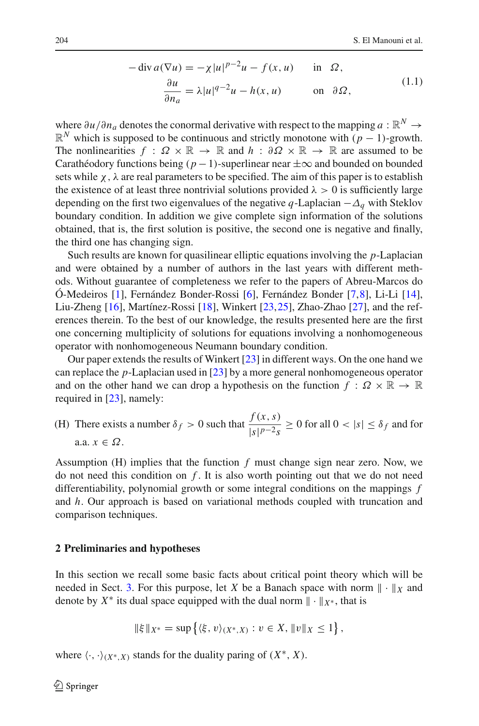$$
-\operatorname{div} a(\nabla u) = -\chi |u|^{p-2}u - f(x, u) \quad \text{in } \Omega,
$$
  

$$
\frac{\partial u}{\partial n_a} = \lambda |u|^{q-2}u - h(x, u) \quad \text{on } \partial \Omega,
$$
 (1.1)

<span id="page-1-0"></span>where  $\partial u/\partial n_a$  denotes the conormal derivative with respect to the mapping  $a : \mathbb{R}^N \to$  $\mathbb{R}^N$  which is supposed to be continuous and strictly monotone with  $(p-1)$ -growth. The nonlinearities  $f : \Omega \times \mathbb{R} \to \mathbb{R}$  and  $h : \partial \Omega \times \mathbb{R} \to \mathbb{R}$  are assumed to be Carathéodory functions being  $(p-1)$ -superlinear near  $\pm \infty$  and bounded on bounded sets while  $\chi$ ,  $\lambda$  are real parameters to be specified. The aim of this paper is to establish the existence of at least three nontrivial solutions provided  $\lambda > 0$  is sufficiently large depending on the first two eigenvalues of the negative *q*-Laplacian −Δ*<sup>q</sup>* with Steklov boundary condition. In addition we give complete sign information of the solutions obtained, that is, the first solution is positive, the second one is negative and finally, the third one has changing sign.

Such results are known for quasilinear elliptic equations involving the *p*-Laplacian and were obtained by a number of authors in the last years with different methods. Without guarantee of completeness we refer to the papers of Abreu-Marcos do Ó-Medeiros [\[1\]](#page-29-0), Fernández Bonder-Rossi [\[6](#page-29-1)], Fernández Bonder [\[7](#page-29-2)[,8](#page-29-3)], Li-Li [\[14](#page-29-4)], Liu-Zheng [\[16](#page-30-0)], Martínez-Rossi [\[18](#page-30-1)], Winkert [\[23,](#page-30-2)[25\]](#page-30-3), Zhao-Zhao [\[27](#page-30-4)], and the references therein. To the best of our knowledge, the results presented here are the first one concerning multiplicity of solutions for equations involving a nonhomogeneous operator with nonhomogeneous Neumann boundary condition.

Our paper extends the results of Winkert [\[23](#page-30-2)] in different ways. On the one hand we can replace the *p*-Laplacian used in [\[23](#page-30-2)] by a more general nonhomogeneous operator and on the other hand we can drop a hypothesis on the function  $f: \Omega \times \mathbb{R} \to \mathbb{R}$ required in [\[23\]](#page-30-2), namely:

(H) There exists a number  $\delta_f > 0$  such that  $\frac{f(x, s)}{\ln n}$  $\frac{f(x, y, z)}{|s|^{p-2}s} \ge 0$  for all  $0 < |s| \le \delta_f$  and for a.a. *x* ∈ Ω.

Assumption (H) implies that the function *f* must change sign near zero. Now, we do not need this condition on *f* . It is also worth pointing out that we do not need differentiability, polynomial growth or some integral conditions on the mappings *f* and *h*. Our approach is based on variational methods coupled with truncation and comparison techniques.

#### <span id="page-1-1"></span>**2 Preliminaries and hypotheses**

In this section we recall some basic facts about critical point theory which will be needed in Sect. [3.](#page-8-0) For this purpose, let *X* be a Banach space with norm  $\|\cdot\|_X$  and denote by  $X^*$  its dual space equipped with the dual norm  $\|\cdot\|_{X^*}$ , that is

$$
\|\xi\|_{X^*} = \sup \{ \langle \xi, v \rangle_{(X^*, X)} : v \in X, \|v\|_X \le 1 \},
$$

where  $\langle \cdot, \cdot \rangle_{(X^*, X)}$  stands for the duality paring of  $(X^*, X)$ .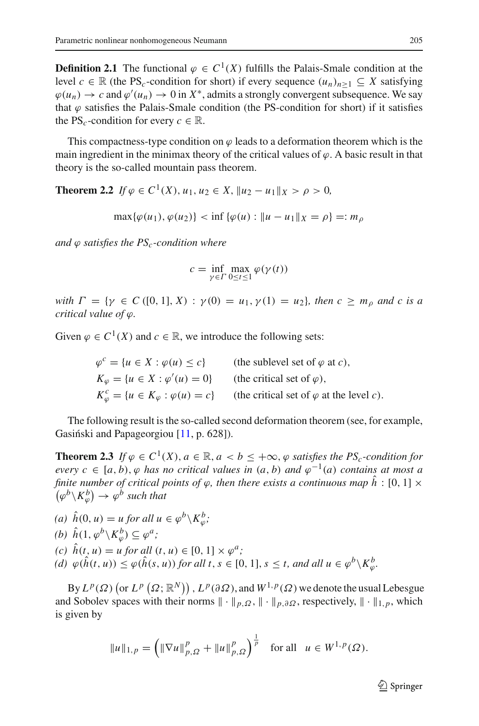**Definition 2.1** The functional  $\varphi \in C^1(X)$  fulfills the Palais-Smale condition at the level  $c \in \mathbb{R}$  (the PS<sub>c</sub>-condition for short) if every sequence  $(u_n)_{n>1} \subseteq X$  satisfying  $\varphi(u_n) \to c$  and  $\varphi'(u_n) \to 0$  in  $X^*$ , admits a strongly convergent subsequence. We say that  $\varphi$  satisfies the Palais-Smale condition (the PS-condition for short) if it satisfies the PS<sub>*c*</sub>-condition for every  $c \in \mathbb{R}$ .

This compactness-type condition on  $\varphi$  leads to a deformation theorem which is the main ingredient in the minimax theory of the critical values of  $\varphi$ . A basic result in that theory is the so-called mountain pass theorem.

<span id="page-2-0"></span>**Theorem 2.2** *If*  $\varphi \in C^1(X)$ ,  $u_1, u_2 \in X$ ,  $||u_2 - u_1||_X > \rho > 0$ ,

 $\max{\{\varphi(u_1), \varphi(u_2)\}}$  <  $\inf{\{\varphi(u) : \|u - u_1\|_X = \rho\}} =: m_\rho$ 

*and*  $\varphi$  *satisfies the PS<sub>c</sub>-condition where* 

$$
c = \inf_{\gamma \in \Gamma} \max_{0 \le t \le 1} \varphi(\gamma(t))
$$

*with*  $\Gamma = \{ \gamma \in C([0, 1], X) : \gamma(0) = u_1, \gamma(1) = u_2 \}$ , then  $c > m_0$  and c is a *critical value of* ϕ*.*

Given  $\varphi \in C^1(X)$  and  $c \in \mathbb{R}$ , we introduce the following sets:

$$
\varphi^c = \{ u \in X : \varphi(u) \le c \} \qquad \text{(the sublevel set of } \varphi \text{ at } c),
$$
  
\n
$$
K_{\varphi} = \{ u \in X : \varphi'(u) = 0 \} \qquad \text{(the critical set of } \varphi),
$$
  
\n
$$
K_{\varphi}^c = \{ u \in K_{\varphi} : \varphi(u) = c \} \qquad \text{(the critical set of } \varphi \text{ at the level } c).
$$

<span id="page-2-1"></span>The following result is the so-called second deformation theorem (see, for example, Gasiński and Papageorgiou [\[11](#page-29-5), p. 628]).

**Theorem 2.3** *If*  $\varphi \in C^1(X)$ ,  $a \in \mathbb{R}$ ,  $a < b < +\infty$ ,  $\varphi$  satisfies the PS<sub>c</sub>-condition for *every*  $c \in [a, b), \varphi$  *has no critical values in*  $(a, b)$  *and*  $\varphi^{-1}(a)$  *contains at most a finite number of critical points of*  $\varphi$ *, then there exists a continuous map*  $\hat{h}$  : [0, 1]  $\times$  $(\varphi^b \backslash K_{\varphi}^b) \rightarrow \varphi^b$  *such that* 

(a) 
$$
\hat{h}(0, u) = u
$$
 for all  $u \in \varphi^b \backslash K_{\varphi}^b$ ;

(b) 
$$
\hat{h}(1, \varphi^b \setminus K_{\varphi}^b) \subseteq \varphi^a;
$$

- *(c)*  $\hat{h}(t, u) = u$  *for all*  $(t, u) \in [0, 1] \times \varphi^a$ ;
- $(d) \varphi(\hat{h}(t, u)) \leq \varphi(\hat{h}(s, u))$  *for all t*,  $s \in [0, 1]$ ,  $s \leq t$ , and all  $u \in \varphi^b \setminus K^b_{\varphi}$ .

By  $L^p(\Omega)$  (or  $L^p(\Omega; \mathbb{R}^N)$ ),  $L^p(\partial \Omega)$ , and  $W^{1,p}(\Omega)$  we denote the usual Lebesgue and Sobolev spaces with their norms  $\|\cdot\|_{p,\Omega}$ ,  $\|\cdot\|_{p,\partial\Omega}$ , respectively,  $\|\cdot\|_{1,p}$ , which is given by

$$
||u||_{1,p} = \left(||\nabla u||_{p,\Omega}^p + ||u||_{p,\Omega}^p\right)^{\frac{1}{p}} \text{ for all } u \in W^{1,p}(\Omega).
$$

 $\mathcal{L}$  Springer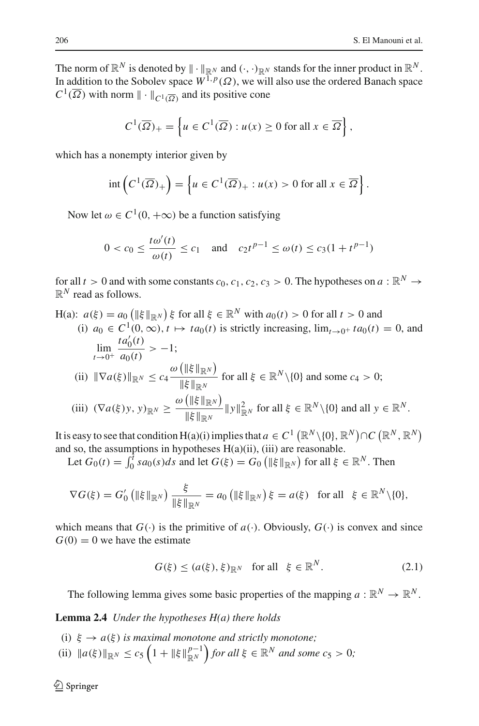The norm of  $\mathbb{R}^N$  is denoted by  $\|\cdot\|_{\mathbb{R}^N}$  and  $(\cdot, \cdot)_{\mathbb{R}^N}$  stands for the inner product in  $\mathbb{R}^N$ . In addition to the Sobolev space  $W^{1,p}(\Omega)$ , we will also use the ordered Banach space  $C^1(\overline{\Omega})$  with norm  $\|\cdot\|_{C^1(\overline{\Omega})}$  and its positive cone

$$
C^{1}(\overline{\Omega})_{+} = \left\{ u \in C^{1}(\overline{\Omega}) : u(x) \ge 0 \text{ for all } x \in \overline{\Omega} \right\},\
$$

which has a nonempty interior given by

$$
\operatorname{int}\left(C^1(\overline{\Omega})_+\right) = \left\{u \in C^1(\overline{\Omega})_+ : u(x) > 0 \text{ for all } x \in \overline{\Omega}\right\}.
$$

Now let  $\omega \in C^1(0, +\infty)$  be a function satisfying

$$
0 < c_0 \le \frac{t\omega'(t)}{\omega(t)} \le c_1
$$
 and  $c_2t^{p-1} \le \omega(t) \le c_3(1+t^{p-1})$ 

for all  $t > 0$  and with some constants  $c_0$ ,  $c_1$ ,  $c_2$ ,  $c_3 > 0$ . The hypotheses on  $a : \mathbb{R}^N \to$  $\mathbb{R}^N$  read as follows.

H(a):  $a(\xi) = a_0 \left( \|\xi\|_{\mathbb{R}^N} \right) \xi$  for all  $\xi \in \mathbb{R}^N$  with  $a_0(t) > 0$  for all  $t > 0$  and (i)  $a_0 \in C^1(0,\infty)$ ,  $t \mapsto ta_0(t)$  is strictly increasing,  $\lim_{t \to 0^+} ta_0(t) = 0$ , and  $\lim_{t \to 0} \frac{ta'_0(t)}{t}$  $t \rightarrow 0^+$  $\frac{a_0(t)}{a_0(t)} > -1;$ (ii)  $\|\nabla a(\xi)\|_{\mathbb{R}^N} \leq c_4$  $\omega\left(\left\Vert \xi\right\Vert _{\mathbb{R}^{N}}\right)$  $\frac{\ln S \ln R^N}{\|\xi\|_{\mathbb{R}^N}}$  for all  $\xi \in \mathbb{R}^N \setminus \{0\}$  and some  $c_4 > 0$ ;  $(iii)$   $(\nabla a(\xi)y, y)_{\mathbb{R}^N} \geq \frac{\omega\left(\|\xi\|_{\mathbb{R}^N}\right)}{\|\xi\|_{\mathbb{R}^N}}$  $\frac{\|\mathbf{g}\|_{\mathbb{R}^N}}{\|\xi\|_{\mathbb{R}^N}} \|y\|_{\mathbb{R}^N}^2$  for all  $\xi \in \mathbb{R}^N \setminus \{0\}$  and all  $y \in \mathbb{R}^N$ .

It is easy to see that condition  $H(a)(i)$  implies that  $a \in C^1\left(\mathbb{R}^N\setminus\{0\},\mathbb{R}^N\right) \cap C\left(\mathbb{R}^N,\mathbb{R}^N\right)$ and so, the assumptions in hypotheses  $H(a)(ii)$ , (iii) are reasonable.

Let  $G_0(t) = \int_0^t s a_0(s) ds$  and let  $G(\xi) = G_0 \left( \|\xi\|_{\mathbb{R}^N} \right)$  for all  $\xi \in \mathbb{R}^N$ . Then

$$
\nabla G(\xi) = G'_0 \left( \|\xi\|_{\mathbb{R}^N} \right) \frac{\xi}{\|\xi\|_{\mathbb{R}^N}} = a_0 \left( \|\xi\|_{\mathbb{R}^N} \right) \xi = a(\xi) \text{ for all } \xi \in \mathbb{R}^N \setminus \{0\},
$$

which means that  $G(\cdot)$  is the primitive of  $a(\cdot)$ . Obviously,  $G(\cdot)$  is convex and since  $G(0) = 0$  we have the estimate

<span id="page-3-1"></span>
$$
G(\xi) \le (a(\xi), \xi)_{\mathbb{R}^N} \quad \text{for all} \quad \xi \in \mathbb{R}^N. \tag{2.1}
$$

The following lemma gives some basic properties of the mapping  $a : \mathbb{R}^N \to \mathbb{R}^N$ .

<span id="page-3-0"></span>**Lemma 2.4** *Under the hypotheses H(a) there holds*

- (i)  $\xi \rightarrow a(\xi)$  *is maximal monotone and strictly monotone*;
- (ii)  $\|a(\xi)\|_{\mathbb{R}^N} \le c_5 \left(1 + \|\xi\|_{\mathbb{R}^N}^{p-1}\right)$  for all  $\xi \in \mathbb{R}^N$  and some  $c_5 > 0$ ;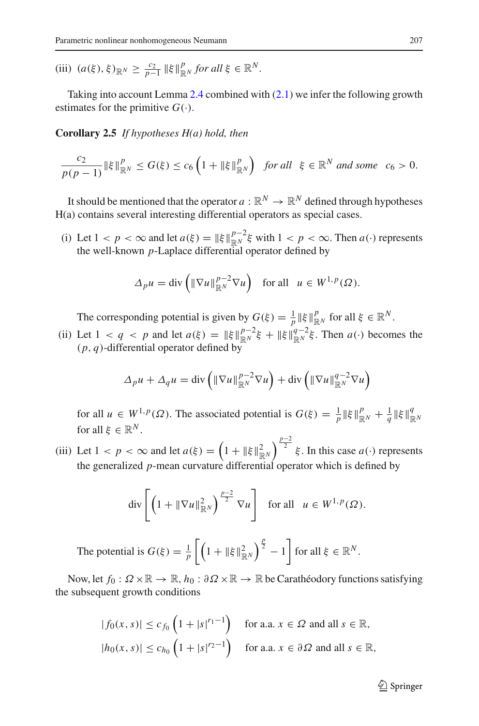(iii)  $(a(\xi), \xi)_{\mathbb{R}^N} \ge \frac{c_2}{p-1} \|\xi\|_{\mathbb{R}^N}^p$  *for all*  $\xi \in \mathbb{R}^N$ *.* 

Taking into account Lemma [2.4](#page-3-0) combined with [\(2.1\)](#page-3-1) we infer the following growth estimates for the primitive  $G(.)$ .

**Corollary 2.5** *If hypotheses H(a) hold, then*

$$
\frac{c_2}{p(p-1)}\|\xi\|_{\mathbb{R}^N}^p\leq G(\xi)\leq c_6\left(1+\|\xi\|_{\mathbb{R}^N}^p\right)\ \text{ for all }\ \xi\in\mathbb{R}^N\ \text{ and some }\ c_6>0.
$$

It should be mentioned that the operator  $a : \mathbb{R}^N \to \mathbb{R}^N$  defined through hypotheses H(a) contains several interesting differential operators as special cases.

(i) Let  $1 < p < \infty$  and let  $a(\xi) = ||\xi||_{\mathbb{R}^N}^{p-2} \xi$  with  $1 < p < \infty$ . Then  $a(\cdot)$  represents the well-known *p*-Laplace differential operator defined by

$$
\Delta_p u = \text{div}\left(\|\nabla u\|_{\mathbb{R}^N}^{p-2} \nabla u\right) \quad \text{for all} \quad u \in W^{1,p}(\Omega).
$$

The corresponding potential is given by  $G(\xi) = \frac{1}{p} ||\xi||_{\mathbb{R}^N}^p$  for all  $\xi \in \mathbb{R}^N$ .

(ii) Let  $1 < q < p$  and let  $a(\xi) = ||\xi||_{\mathbb{R}^N}^{p-2} \xi + ||\xi||_{\mathbb{R}^N}^{q-2} \xi$ . Then  $a(\cdot)$  becomes the (*p*, *q*)-differential operator defined by

$$
\Delta_p u + \Delta_q u = \text{div}\left(\|\nabla u\|_{\mathbb{R}^N}^{p-2} \nabla u\right) + \text{div}\left(\|\nabla u\|_{\mathbb{R}^N}^{q-2} \nabla u\right)
$$

for all  $u \in W^{1,p}(\Omega)$ . The associated potential is  $G(\xi) = \frac{1}{p} \|\xi\|_{\mathbb{R}^N}^p + \frac{1}{q} \|\xi\|_{\mathbb{R}^N}^q$ for all  $\xi \in \mathbb{R}^N$ .

(iii) Let  $1 < p < \infty$  and let  $a(\xi) = \left(1 + \|\xi\|_{\mathbb{R}^N}^2\right)^{\frac{p-2}{2}} \xi$ . In this case  $a(\cdot)$  represents the generalized *p*-mean curvature differential operator which is defined by

$$
\operatorname{div}\left[\left(1+\|\nabla u\|_{\mathbb{R}^N}^2\right)^{\frac{p-2}{2}}\nabla u\right] \quad \text{for all} \quad u \in W^{1,p}(\Omega).
$$

The potential is  $G(\xi) = \frac{1}{p} \left[ \left( 1 + ||\xi||^2_{\mathbb{R}^N} \right)^{\frac{p}{2}} - 1 \right]$  for all  $\xi \in \mathbb{R}^N$ .

Now, let  $f_0: \Omega \times \mathbb{R} \to \mathbb{R}$ ,  $h_0: \partial \Omega \times \mathbb{R} \to \mathbb{R}$  be Carathéodory functions satisfying the subsequent growth conditions

$$
|f_0(x, s)| \le c_{f_0} \left(1 + |s|^{r_1 - 1}\right) \quad \text{for a.a. } x \in \Omega \text{ and all } s \in \mathbb{R},
$$
  

$$
|h_0(x, s)| \le c_{h_0} \left(1 + |s|^{r_2 - 1}\right) \quad \text{for a.a. } x \in \partial \Omega \text{ and all } s \in \mathbb{R},
$$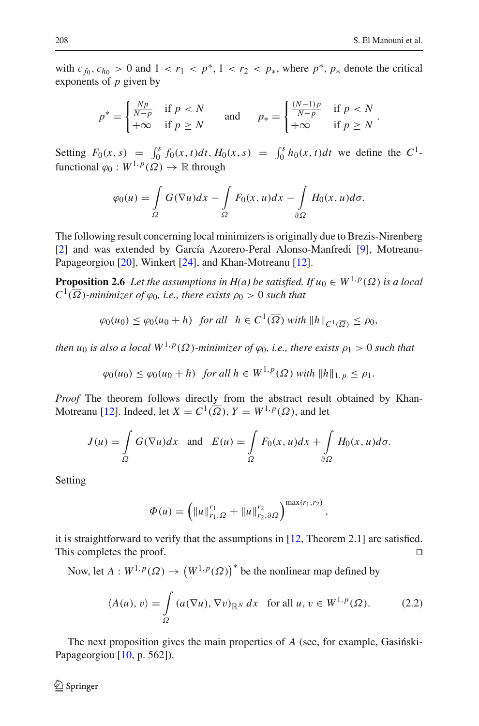with  $c_{f_0}, c_{h_0} > 0$  and  $1 < r_1 < p^*$ ,  $1 < r_2 < p_*$ , where  $p^*$ ,  $p_*$  denote the critical exponents of *p* given by

$$
p^* = \begin{cases} \frac{Np}{N-p} & \text{if } p < N \\ +\infty & \text{if } p \ge N \end{cases} \quad \text{and} \quad p_* = \begin{cases} \frac{(N-1)p}{N-p} & \text{if } p < N \\ +\infty & \text{if } p \ge N \end{cases}.
$$

Setting  $F_0(x, s) = \int_0^s f_0(x, t) dt$ ,  $H_0(x, s) = \int_0^s h_0(x, t) dt$  we define the *C*<sup>1</sup>functional  $\varphi_0 : W^{1,p}(\Omega) \to \mathbb{R}$  through

$$
\varphi_0(u) = \int_{\Omega} G(\nabla u) dx - \int_{\Omega} F_0(x, u) dx - \int_{\partial \Omega} H_0(x, u) d\sigma.
$$

The following result concerning local minimizers is originally due to Brezis-Nirenberg [\[2](#page-29-6)] and was extended by García Azorero-Peral Alonso-Manfredi [\[9\]](#page-29-7), Motreanu-Papageorgiou [\[20\]](#page-30-5), Winkert [\[24](#page-30-6)], and Khan-Motreanu [\[12\]](#page-29-8).

<span id="page-5-2"></span>**Proposition 2.6** *Let the assumptions in H(a) be satisfied. If*  $u_0 \in W^{1,p}(\Omega)$  *is a local*  $C^1(\overline{\Omega})$ *-minimizer of*  $\varphi_0$ *, i.e., there exists*  $\rho_0 > 0$  *such that* 

$$
\varphi_0(u_0) \le \varphi_0(u_0 + h) \quad \text{for all} \quad h \in C^1(\overline{\Omega}) \text{ with } ||h||_{C^1(\overline{\Omega})} \le \rho_0,
$$

*then u*<sup>0</sup> *is also a local*  $W^{1,p}(\Omega)$ *-minimizer of*  $\varphi_0$ *, i.e., there exists*  $\rho_1 > 0$  *such that* 

$$
\varphi_0(u_0) \le \varphi_0(u_0 + h) \quad \text{for all } h \in W^{1, p}(\Omega) \text{ with } ||h||_{1, p} \le \rho_1.
$$

*Proof* The theorem follows directly from the abstract result obtained by Khan-Motreanu [\[12](#page-29-8)]. Indeed, let  $X = C^1(\overline{\Omega})$ ,  $Y = W^{1,p}(\Omega)$ , and let

$$
J(u) = \int_{\Omega} G(\nabla u) dx \text{ and } E(u) = \int_{\Omega} F_0(x, u) dx + \int_{\partial \Omega} H_0(x, u) d\sigma.
$$

Setting

$$
\Phi(u) = \left( \|u\|_{r_1,\Omega}^{r_1} + \|u\|_{r_2,\partial\Omega}^{r_2}\right)^{\max(r_1,r_2)}
$$

it is straightforward to verify that the assumptions in  $[12,$  $[12,$  Theorem 2.1] are satisfied. This completes the proof.

Now, let  $A: W^{1,p}(\Omega) \to (W^{1,p}(\Omega))^*$  be the nonlinear map defined by

$$
\langle A(u), v \rangle = \int_{\Omega} \left( a(\nabla u), \nabla v \right)_{\mathbb{R}^N} dx \quad \text{for all } u, v \in W^{1, p}(\Omega). \tag{2.2}
$$

<span id="page-5-0"></span>,

<span id="page-5-1"></span>The next proposition gives the main properties of A (see, for example, Gasinski-Papageorgiou [\[10,](#page-29-9) p. 562]).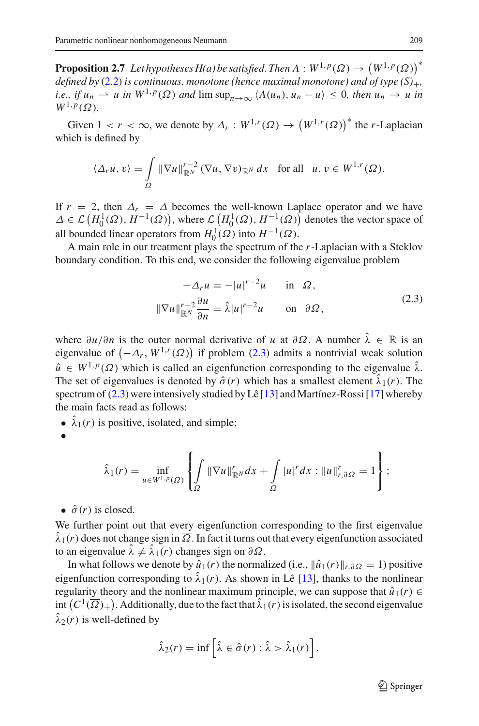**Proposition 2.7** *Let hypotheses H(a) be satisfied. Then*  $A : W^{1,p}(\Omega) \to (W^{1,p}(\Omega))^*$ *defined by* [\(2.2\)](#page-5-0) *is continuous, monotone (hence maximal monotone) and of type*  $(S)_+$ , *i.e., if*  $u_n \rightharpoonup u$  *in*  $W^{1,p}(\Omega)$  *and*  $\limsup_{n\to\infty} \langle A(u_n), u_n - u \rangle \leq 0$ *, then*  $u_n \to u$  *in*  $W^{1,p}(\Omega)$ .

Given  $1 < r < \infty$ , we denote by  $\Delta_r : W^{1,r}(\Omega) \to (W^{1,r}(\Omega))^*$  the *r*-Laplacian which is defined by

$$
\langle \Delta_r u, v \rangle = \int\limits_{\Omega} \|\nabla u\|_{\mathbb{R}^N}^{r-2} \left(\nabla u, \nabla v\right)_{\mathbb{R}^N} dx \quad \text{for all} \quad u, v \in W^{1,r}(\Omega).
$$

If  $r = 2$ , then  $\Delta_r = \Delta$  becomes the well-known Laplace operator and we have  $\Delta \in \mathcal{L}(H_0^1(\Omega), H^{-1}(\Omega))$ , where  $\mathcal{L}(H_0^1(\Omega), H^{-1}(\Omega))$  denotes the vector space of all bounded linear operators from  $H_0^1(\Omega)$  into  $H^{-1}(\Omega)$ .

A main role in our treatment plays the spectrum of the *r*-Laplacian with a Steklov boundary condition. To this end, we consider the following eigenvalue problem

$$
-\Delta_r u = -|u|^{r-2}u \quad \text{in } \Omega,
$$
  

$$
\|\nabla u\|_{\mathbb{R}^N}^{r-2} \frac{\partial u}{\partial n} = \hat{\lambda}|u|^{r-2}u \quad \text{on } \partial\Omega,
$$
 (2.3)

<span id="page-6-0"></span>where  $\partial u/\partial n$  is the outer normal derivative of *u* at  $\partial \Omega$ . A number  $\hat{\lambda} \in \mathbb{R}$  is an eigenvalue of  $(-\Delta_r, W^{1,r}(\Omega))$  if problem [\(2.3\)](#page-6-0) admits a nontrivial weak solution  $\hat{u} \in W^{1,p}(\Omega)$  which is called an eigenfunction corresponding to the eigenvalue  $\hat{\lambda}$ . The set of eigenvalues is denoted by  $\hat{\sigma}(r)$  which has a smallest element  $\hat{\lambda}_1(r)$ . The spectrum of  $(2.3)$  were intensively studied by Lê [\[13](#page-29-10)] and Martínez-Rossi [\[17\]](#page-30-7) whereby the main facts read as follows:

- $\hat{\lambda}_1(r)$  is positive, isolated, and simple;
- •

$$
\hat{\lambda}_1(r) = \inf_{u \in W^{1,p}(\Omega)} \left\{ \int_{\Omega} \|\nabla u\|_{\mathbb{R}^N}^r dx + \int_{\Omega} |u|^r dx : \|u\|_{r,\partial\Omega}^r = 1 \right\};
$$

•  $\hat{\sigma}(r)$  is closed.

We further point out that every eigenfunction corresponding to the first eigenvalue  $\hat{\lambda}_1(r)$  does not change sign in  $\overline{\Omega}$ . In fact it turns out that every eigenfunction associated to an eigenvalue  $\hat{\lambda} \neq \hat{\lambda}_1(r)$  changes sign on  $\partial \Omega$ .

In what follows we denote by  $\hat{u}_1(r)$  the normalized (i.e.,  $\|\hat{u}_1(r)\|_{r,\partial\Omega} = 1$ ) positive eigenfunction corresponding to  $\lambda_1(r)$ . As shown in Lê [\[13\]](#page-29-10), thanks to the nonlinear regularity theory and the nonlinear maximum principle, we can suppose that  $\hat{u}_1(r) \in$ int  $(C^1(\overline{\Omega})_+)$ . Additionally, due to the fact that  $\hat{\lambda}_1(r)$  is isolated, the second eigenvalue  $\hat{\lambda}_2(r)$  is well-defined by

$$
\hat{\lambda}_2(r) = \inf \left[ \hat{\lambda} \in \hat{\sigma}(r) : \hat{\lambda} > \hat{\lambda}_1(r) \right].
$$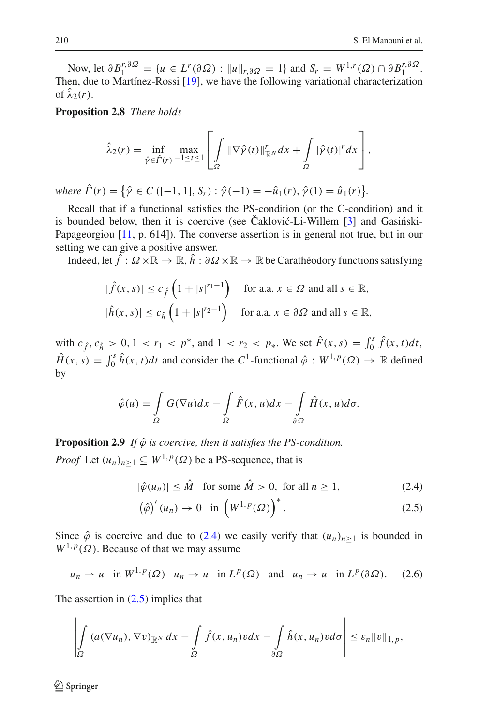Now, let  $\partial B_1^{r, \partial \Omega} = \{ u \in L^r(\partial \Omega) : ||u||_{r, \partial \Omega} = 1 \}$  and  $S_r = W^{1,r}(\Omega) \cap \partial B_1^{r, \partial \Omega}$ . Then, due to Martínez-Rossi [\[19\]](#page-30-8), we have the following variational characterization of  $\hat{\lambda}_2(r)$ .

<span id="page-7-4"></span>**Proposition 2.8** *There holds*

$$
\hat{\lambda}_2(r) = \inf_{\hat{\gamma} \in \hat{\Gamma}(r)} \max_{-1 \leq t \leq 1} \left[ \int_{\Omega} \|\nabla \hat{\gamma}(t)\|_{\mathbb{R}^N}^r dx + \int_{\Omega} |\hat{\gamma}(t)|^r dx \right],
$$

 $where \ \hat{\Gamma}(r) = \{ \hat{\gamma} \in C \ ([-1, 1], S_r) : \hat{\gamma}(-1) = -\hat{u}_1(r), \hat{\gamma}(1) = \hat{u}_1(r) \}.$ 

Recall that if a functional satisfies the PS-condition (or the C-condition) and it is bounded below, then it is coercive (see Čaklović-Li-Willem  $\lceil 3 \rceil$  and Gasingski-Papageorgiou [\[11](#page-29-5), p. 614]). The converse assertion is in general not true, but in our setting we can give a positive answer.

Indeed, let  $\hat{f}: \Omega \times \mathbb{R} \to \mathbb{R}, \hat{h}: \partial \Omega \times \mathbb{R} \to \mathbb{R}$  be Carathéodory functions satisfying

$$
|\hat{f}(x,s)| \le c_{\hat{f}}\left(1+|s|^{r_1-1}\right) \quad \text{for a.a. } x \in \Omega \text{ and all } s \in \mathbb{R},
$$
  

$$
|\hat{h}(x,s)| \le c_{\hat{h}}\left(1+|s|^{r_2-1}\right) \quad \text{for a.a. } x \in \partial\Omega \text{ and all } s \in \mathbb{R},
$$

with  $c_{\hat{f}}, c_{\hat{h}} > 0, 1 < r_1 < p^*$ , and  $1 < r_2 < p_*$ . We set  $\hat{F}(x, s) = \int_0^s \hat{f}(x, t) dt$ ,  $\hat{H}(x, s) = \int_0^s \hat{h}(x, t) dt$  and consider the *C*<sup>1</sup>-functional  $\hat{\varphi}: W^{1,p}(\Omega) \to \mathbb{R}$  defined by

$$
\hat{\varphi}(u) = \int_{\Omega} G(\nabla u) dx - \int_{\Omega} \hat{F}(x, u) dx - \int_{\partial \Omega} \hat{H}(x, u) d\sigma.
$$

<span id="page-7-3"></span>**Proposition 2.9** *If*  $\hat{\varphi}$  *is coercive, then it satisfies the PS-condition. Proof* Let  $(u_n)_{n \geq 1} \subseteq W^{1,p}(\Omega)$  be a PS-sequence, that is

 $|\hat{\varphi}(u_n)| \leq \hat{M}$  for some  $\hat{M} > 0$ , for all  $n > 1$ , (2.4)

<span id="page-7-2"></span><span id="page-7-1"></span><span id="page-7-0"></span>
$$
\left(\hat{\varphi}\right)'(u_n) \to 0 \quad \text{in} \left(W^{1,p}(\Omega)\right)^*.
$$
\n(2.5)

Since  $\hat{\varphi}$  is coercive and due to [\(2.4\)](#page-7-0) we easily verify that  $(u_n)_{n\geq 1}$  is bounded in  $W^{1,p}(\Omega)$ . Because of that we may assume

$$
u_n \rightharpoonup u
$$
 in  $W^{1,p}(\Omega)$   $u_n \rightharpoonup u$  in  $L^p(\Omega)$  and  $u_n \rightharpoonup u$  in  $L^p(\partial \Omega)$ . (2.6)

The assertion in  $(2.5)$  implies that

$$
\left|\int_{\Omega} \left( a(\nabla u_n), \nabla v \right)_{\mathbb{R}^N} dx - \int_{\Omega} \hat{f}(x, u_n) v dx - \int_{\partial \Omega} \hat{h}(x, u_n) v d\sigma \right| \leq \varepsilon_n \|v\|_{1, p},
$$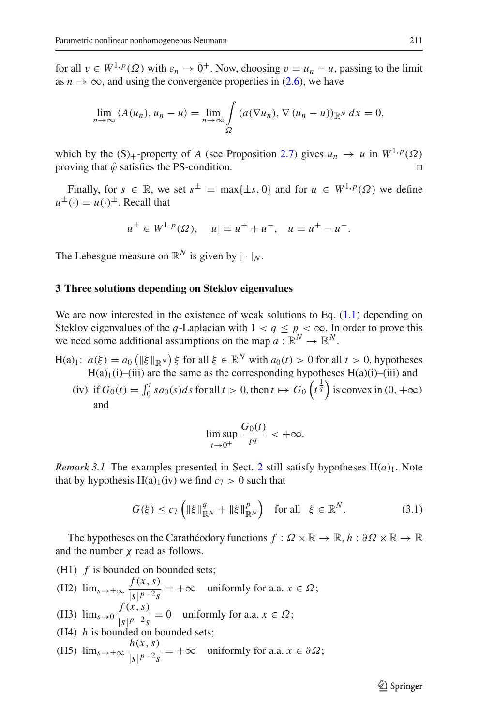for all  $v \in W^{1,p}(\Omega)$  with  $\varepsilon_n \to 0^+$ . Now, choosing  $v = u_n - u$ , passing to the limit as  $n \to \infty$ , and using the convergence properties in [\(2.6\)](#page-7-2), we have

$$
\lim_{n\to\infty} \langle A(u_n), u_n - u \rangle = \lim_{n\to\infty} \int_{\Omega} (a(\nabla u_n), \nabla (u_n - u))_{\mathbb{R}^N} dx = 0,
$$

which by the (S)<sub>+</sub>-property of *A* (see Proposition [2.7\)](#page-5-1) gives  $u_n \to u$  in  $W^{1,p}(\Omega)$  proving that  $\hat{\omega}$  satisfies the PS-condition proving that  $\hat{\varphi}$  satisfies the PS-condition.

Finally, for  $s \in \mathbb{R}$ , we set  $s^{\pm} = \max\{\pm s, 0\}$  and for  $u \in W^{1, p}(\Omega)$  we define  $u^{\pm}(\cdot) = u(\cdot)^{\pm}$ . Recall that

$$
u^{\pm} \in W^{1,p}(\Omega), \quad |u| = u^{+} + u^{-}, \quad u = u^{+} - u^{-}.
$$

The Lebesgue measure on  $\mathbb{R}^N$  is given by  $|\cdot|_N$ .

## <span id="page-8-0"></span>**3 Three solutions depending on Steklov eigenvalues**

We are now interested in the existence of weak solutions to Eq.  $(1.1)$  depending on Steklov eigenvalues of the *q*-Laplacian with  $1 < q \le p < \infty$ . In order to prove this we need some additional assumptions on the map  $a : \mathbb{R}^N \to \mathbb{R}^N$ .

- H(a)<sub>1</sub>:  $a(\xi) = a_0 \left( \|\xi\|_{\mathbb{R}^N} \right) \xi$  for all  $\xi \in \mathbb{R}^N$  with  $a_0(t) > 0$  for all  $t > 0$ , hypotheses  $H(a)$ <sub>1</sub>(i)–(iii) are the same as the corresponding hypotheses  $H(a)(i)$ –(iii) and
	- (iv) if  $G_0(t) = \int_0^t s a_0(s) ds$  for all  $t > 0$ , then  $t \mapsto G_0\left(t^{\frac{1}{q}}\right)$  is convex in  $(0, +\infty)$ and

<span id="page-8-2"></span>
$$
\limsup_{t\to 0^+}\frac{G_0(t)}{t^q}<+\infty.
$$

<span id="page-8-1"></span>*Remark 3.1* The examples presented in Sect. [2](#page-1-1) still satisfy hypotheses  $H(a)_1$ . Note that by hypothesis  $H(a)<sub>1</sub>(iv)$  we find  $c<sub>7</sub> > 0$  such that

$$
G(\xi) \le c_7 \left( \|\xi\|_{\mathbb{R}^N}^q + \|\xi\|_{\mathbb{R}^N}^p \right) \quad \text{for all} \quad \xi \in \mathbb{R}^N. \tag{3.1}
$$

The hypotheses on the Carathéodory functions  $f : \Omega \times \mathbb{R} \to \mathbb{R}$ ,  $h : \partial \Omega \times \mathbb{R} \to \mathbb{R}$ and the number  $\chi$  read as follows.

(H1) *f* is bounded on bounded sets;

- (H2)  $\lim_{s \to \pm \infty} \frac{f(x, s)}{|s|^{p-2} s}$  $\frac{f(x, y)}{|s|^{p-2}s}$  = +∞ uniformly for a.a. *x*  $\in \Omega$ ;
- (H3)  $\lim_{s\to 0} \frac{f(x, s)}{|s|^{p-2}s} = 0$  uniformly for a.a.  $x \in \Omega$ ;

(H4) *h* is bounded on bounded sets;

(H5)  $\lim_{s \to \pm \infty} \frac{h(x, s)}{|s|^{p-2} s}$  $\frac{f(x, y)}{|s|^{p-2}s}$  = +∞ uniformly for a.a. *x*  $\in \partial \Omega$ ;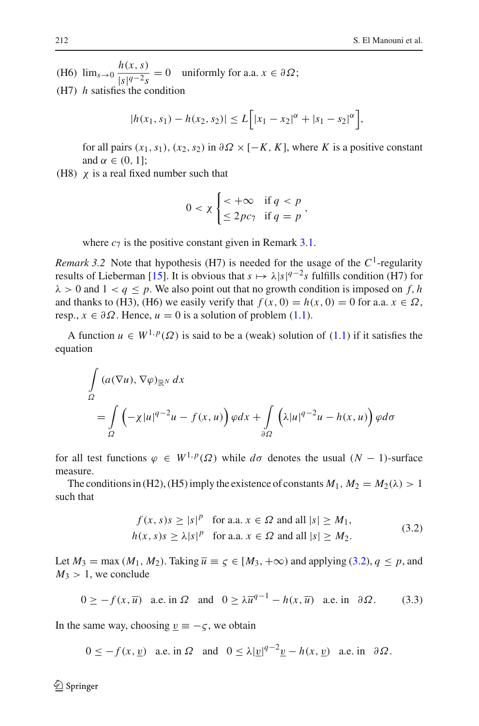(H6)  $\lim_{s\to 0} \frac{h(x, s)}{|s|^q-2s}$  $\sqrt{|s|^{q-2}s} = 0$  uniformly for a.a.  $x \in \partial \Omega$ ; (H7) *h* satisfies the condition

$$
|h(x_1, s_1) - h(x_2, s_2)| \le L\bigg[|x_1 - x_2|^{\alpha} + |s_1 - s_2|^{\alpha}\bigg],
$$

for all pairs  $(x_1, s_1)$ ,  $(x_2, s_2)$  in  $\partial \Omega \times [-K, K]$ , where K is a positive constant and  $\alpha \in (0, 1]$ ;

(H8)  $\chi$  is a real fixed number such that

$$
0 < \chi \begin{cases} < +\infty & \text{if } q < p \\ \leq 2pc_7 & \text{if } q = p \end{cases}
$$

where  $c_7$  is the positive constant given in Remark [3.1.](#page-8-1)

*Remark 3.2* Note that hypothesis (H7) is needed for the usage of the  $C^1$ -regularity results of Lieberman [\[15](#page-30-9)]. It is obvious that  $s \mapsto \lambda |s|^{q-2} s$  fulfills condition (H7) for  $\lambda > 0$  and  $1 < q \leq p$ . We also point out that no growth condition is imposed on f, h and thanks to (H3), (H6) we easily verify that  $f(x, 0) = h(x, 0) = 0$  for a.a.  $x \in \Omega$ , resp.,  $x \in \partial \Omega$ . Hence,  $u = 0$  is a solution of problem [\(1.1\)](#page-1-0).

A function  $u \in W^{1,p}(\Omega)$  is said to be a (weak) solution of [\(1.1\)](#page-1-0) if it satisfies the equation

$$
\int_{\Omega} (a(\nabla u), \nabla \varphi)_{\mathbb{R}^N} dx
$$
\n
$$
= \int_{\Omega} \left( -\chi |u|^{q-2} u - f(x, u) \right) \varphi dx + \int_{\partial \Omega} \left( \lambda |u|^{q-2} u - h(x, u) \right) \varphi d\sigma
$$

for all test functions  $\varphi \in W^{1,p}(\Omega)$  while  $d\sigma$  denotes the usual  $(N-1)$ -surface measure.

The conditions in (H2), (H5) imply the existence of constants  $M_1$ ,  $M_2 = M_2(\lambda) > 1$ such that

<span id="page-9-1"></span>
$$
f(x, s)s \ge |s|^p \text{ for a.a. } x \in \Omega \text{ and all } |s| \ge M_1,
$$
  
\n
$$
h(x, s)s \ge \lambda |s|^p \text{ for a.a. } x \in \Omega \text{ and all } |s| \ge M_2.
$$
\n(3.2)

<span id="page-9-0"></span>Let  $M_3 = \max(M_1, M_2)$ . Taking  $\overline{u} \equiv \varsigma \in [M_3, +\infty)$  and applying [\(3.2\)](#page-9-0),  $q \leq p$ , and  $M_3 > 1$ , we conclude

$$
0 \ge -f(x, \overline{u}) \quad \text{a.e. in } \Omega \quad \text{and} \quad 0 \ge \lambda \overline{u}^{q-1} - h(x, \overline{u}) \quad \text{a.e. in} \quad \partial \Omega. \tag{3.3}
$$

In the same way, choosing  $v \equiv -\zeta$ , we obtain

 $0 \le -f(x, y)$  a.e. in  $\Omega$  and  $0 \le \lambda |y|^{q-2}y - h(x, y)$  a.e. in  $\partial \Omega$ .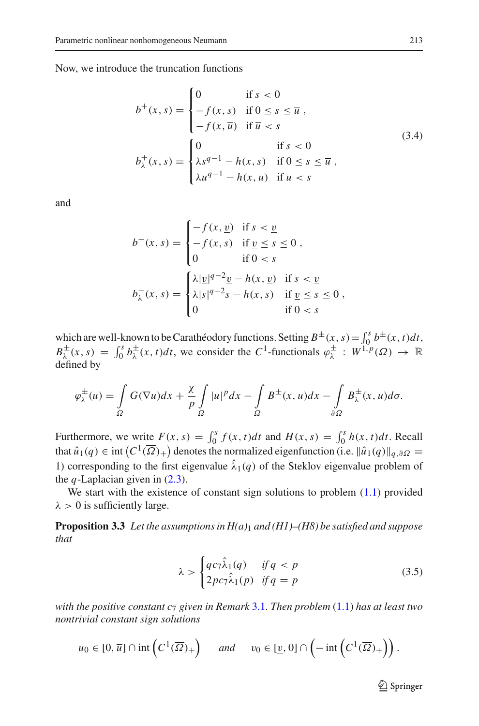<span id="page-10-0"></span>Now, we introduce the truncation functions

$$
b^{+}(x,s) = \begin{cases} 0 & \text{if } s < 0 \\ -f(x,s) & \text{if } 0 \le s \le \overline{u} \\ -f(x,\overline{u}) & \text{if } \overline{u} < s \end{cases} \tag{3.4}
$$
\n
$$
b_{\lambda}^{+}(x,s) = \begin{cases} 0 & \text{if } s < 0 \\ \lambda s^{q-1} - h(x,s) & \text{if } 0 \le s \le \overline{u} \\ \lambda \overline{u}^{q-1} - h(x,\overline{u}) & \text{if } \overline{u} < s \end{cases} \tag{3.4}
$$

and

$$
b^{-}(x, s) = \begin{cases} -f(x, \underline{v}) & \text{if } s < \underline{v} \\ -f(x, s) & \text{if } \underline{v} \le s \le 0 \\ 0 & \text{if } 0 < s \end{cases},
$$

$$
b_{\lambda}^{-}(x, s) = \begin{cases} \lambda |\underline{v}|^{q-2} \underline{v} - h(x, \underline{v}) & \text{if } s < \underline{v} \\ \lambda |s|^{q-2} s - h(x, s) & \text{if } \underline{v} \le s \le 0 \\ 0 & \text{if } 0 < s \end{cases},
$$

which are well-known to be Carathéodory functions. Setting  $B^{\pm}(x, s) = \int_0^s b^{\pm}(x, t) dt$ ,  $B_{\lambda}^{\pm}(x, s) = \int_0^s b_{\lambda}^{\pm}(x, t)dt$ , we consider the *C*<sup>1</sup>-functionals  $\varphi_{\lambda}^{\pm}: W^{1, p}(\Omega) \to \mathbb{R}$ defined by

$$
\varphi_{\lambda}^{\pm}(u) = \int_{\Omega} G(\nabla u) dx + \frac{\chi}{p} \int_{\Omega} |u|^p dx - \int_{\Omega} B^{\pm}(x, u) dx - \int_{\partial \Omega} B^{\pm}_{\lambda}(x, u) d\sigma.
$$

Furthermore, we write  $F(x, s) = \int_0^s f(x, t)dt$  and  $H(x, s) = \int_0^s h(x, t)dt$ . Recall that  $\hat{u}_1(q) \in \text{int}\left(C^1(\overline{\Omega})_+\right)$  denotes the normalized eigenfunction (i.e.  $\|\hat{u}_1(q)\|_{q,\partial\Omega} =$ 1) corresponding to the first eigenvalue  $\hat{\lambda}_1(q)$  of the Steklov eigenvalue problem of the *q*-Laplacian given in  $(2.3)$ .

<span id="page-10-2"></span>We start with the existence of constant sign solutions to problem  $(1.1)$  provided  $\lambda > 0$  is sufficiently large.

**Proposition 3.3** *Let the assumptions in H(a)*<sup>1</sup> *and (H1)–(H8) be satisfied and suppose that*

$$
\lambda > \begin{cases} qc_7\hat{\lambda}_1(q) & \text{if } q < p \\ 2pc_7\hat{\lambda}_1(p) & \text{if } q = p \end{cases}
$$
 (3.5)

*with the positive constant c*<sup>7</sup> *given in Remark* [3.1](#page-8-1)*. Then problem* [\(1.1\)](#page-1-0) *has at least two nontrivial constant sign solutions*

$$
u_0 \in [0, \overline{u}] \cap \text{int}\left(C^1(\overline{\Omega})_+\right) \quad \text{and} \quad v_0 \in [\underline{v}, 0] \cap \left(-\text{int}\left(C^1(\overline{\Omega})_+\right)\right).
$$

<span id="page-10-1"></span> $\mathcal{D}$  Springer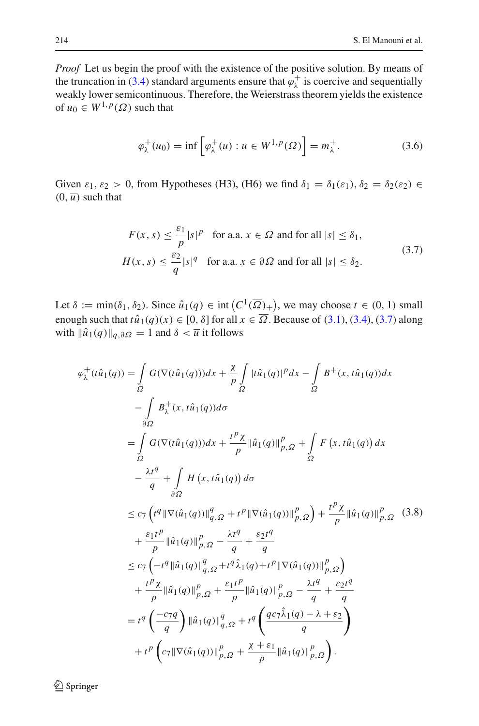*Proof* Let us begin the proof with the existence of the positive solution. By means of the truncation in [\(3.4\)](#page-10-0) standard arguments ensure that  $\varphi_{\lambda}^{+}$  is coercive and sequentially weakly lower semicontinuous. Therefore, the Weierstrass theorem yields the existence of  $u_0 \in W^{1,p}(\Omega)$  such that

<span id="page-11-2"></span>
$$
\varphi_{\lambda}^{+}(u_0) = \inf \left[ \varphi_{\lambda}^{+}(u) : u \in W^{1,p}(\Omega) \right] = m_{\lambda}^{+}.
$$
 (3.6)

Given  $\varepsilon_1$ ,  $\varepsilon_2 > 0$ , from Hypotheses (H3), (H6) we find  $\delta_1 = \delta_1(\varepsilon_1)$ ,  $\delta_2 = \delta_2(\varepsilon_2) \in$  $(0, \overline{u})$  such that

$$
F(x, s) \le \frac{\varepsilon_1}{p} |s|^p \quad \text{for a.a. } x \in \Omega \text{ and for all } |s| \le \delta_1,
$$
  

$$
H(x, s) \le \frac{\varepsilon_2}{q} |s|^q \quad \text{for a.a. } x \in \partial \Omega \text{ and for all } |s| \le \delta_2.
$$
 (3.7)

<span id="page-11-0"></span>Let  $\delta := \min(\delta_1, \delta_2)$ . Since  $\hat{u}_1(q) \in \text{int}\left(C^1(\overline{\Omega})_+\right)$ , we may choose  $t \in (0, 1)$  small enough such that  $t\hat{u}_1(q)(x) \in [0, \delta]$  for all  $x \in \overline{\Omega}$ . Because of [\(3.1\)](#page-8-2), [\(3.4\)](#page-10-0), [\(3.7\)](#page-11-0) along with  $\|\hat{u}_1(q)\|_{q,\partial\Omega} = 1$  and  $\delta < \overline{u}$  it follows

<span id="page-11-1"></span>
$$
\varphi_{\lambda}^{+}(t\hat{u}_{1}(q)) = \int_{\Omega} G(\nabla(t\hat{u}_{1}(q)))dx + \frac{\chi}{p} \int_{\Omega} |t\hat{u}_{1}(q)|^{p} dx - \int_{\Omega} B^{+}(x, t\hat{u}_{1}(q))dx \n- \int_{\partial\Omega} B_{\lambda}^{+}(x, t\hat{u}_{1}(q))d\sigma \n= \int_{\Omega} G(\nabla(t\hat{u}_{1}(q)))dx + \frac{t^{p} \chi}{p} ||\hat{u}_{1}(q)||_{p,\Omega}^{p} + \int_{\Omega} F(x, t\hat{u}_{1}(q)) dx \n- \frac{\lambda t^{q}}{q} + \int_{\partial\Omega} H(x, t\hat{u}_{1}(q)) d\sigma \n\leq c_{7} \left( t^{q} || \nabla(\hat{u}_{1}(q)) ||_{q,\Omega}^{q} + t^{p} || \nabla(\hat{u}_{1}(q)) ||_{p,\Omega}^{p} \right) + \frac{t^{p} \chi}{p} ||\hat{u}_{1}(q)||_{p,\Omega}^{p} \quad (3.8) \n+ \frac{\varepsilon_{1} t^{p}}{p} ||\hat{u}_{1}(q)||_{q,\Omega}^{p} - \frac{\lambda t^{q}}{q} + \frac{\varepsilon_{2} t^{q}}{q} \n\leq c_{7} \left( -t^{q} ||\hat{u}_{1}(q)||_{q,\Omega}^{q} + t^{q} \hat{\lambda}_{1}(q) + t^{p} || \nabla(\hat{u}_{1}(q)) ||_{p,\Omega}^{p} \right) \n+ \frac{t^{p} \chi}{p} ||\hat{u}_{1}(q)||_{p,\Omega}^{p} + \frac{\varepsilon_{1} t^{p}}{p} ||\hat{u}_{1}(q)||_{p,\Omega}^{p} - \frac{\lambda t^{q}}{q} + \frac{\varepsilon_{2} t^{q}}{q} \n= t^{q} \left( \frac{-c_{7} q}{q} \right) ||\hat{u}_{1}(q)||_{q,\Omega}^{q} + t^{q} \left( \frac{qc_{7} \hat{\lambda}_{1}(q) - \lambda + \varepsilon_{2}}{q} \right) \n+ t^{p} \left( c_{7} || \nabla(\hat{u}_{1}(q)) ||_{p,\Omega}^{p} + \frac{\chi + \varepsilon_{1}}{p} ||\hat{u}_{1}(q
$$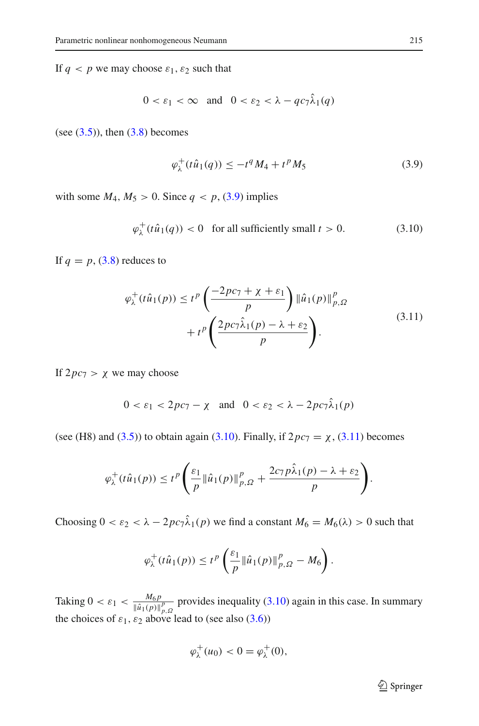If  $q < p$  we may choose  $\varepsilon_1$ ,  $\varepsilon_2$  such that

$$
0 < \varepsilon_1 < \infty \quad \text{and} \quad 0 < \varepsilon_2 < \lambda - q c_7 \lambda_1(q)
$$

(see  $(3.5)$ ), then  $(3.8)$  becomes

<span id="page-12-1"></span><span id="page-12-0"></span>
$$
\varphi_{\lambda}^{+}(t\hat{u}_{1}(q)) \le -t^{q}M_{4} + t^{p}M_{5}
$$
\n(3.9)

with some  $M_4$ ,  $M_5 > 0$ . Since  $q < p$ , [\(3.9\)](#page-12-0) implies

$$
\varphi_{\lambda}^{+}(t\hat{u}_{1}(q)) < 0 \quad \text{for all sufficiently small } t > 0. \tag{3.10}
$$

<span id="page-12-2"></span>If  $q = p$ , [\(3.8\)](#page-11-1) reduces to

$$
\varphi_{\lambda}^{+}(t\hat{u}_{1}(p)) \leq t^{p} \left( \frac{-2pc_{7} + \chi + \varepsilon_{1}}{p} \right) \left\| \hat{u}_{1}(p) \right\|_{p,\Omega}^{p} + t^{p} \left( \frac{2pc_{7}\hat{\lambda}_{1}(p) - \lambda + \varepsilon_{2}}{p} \right).
$$
\n(3.11)

If  $2pc_7 > \chi$  we may choose

$$
0 < \varepsilon_1 < 2pc_7 - \chi \quad \text{and} \quad 0 < \varepsilon_2 < \lambda - 2pc_7 \hat{\lambda}_1(p)
$$

(see (H8) and [\(3.5\)](#page-10-1)) to obtain again [\(3.10\)](#page-12-1). Finally, if  $2pc_7 = \chi$ , [\(3.11\)](#page-12-2) becomes

$$
\varphi_{\lambda}^{+}(t\hat{u}_{1}(p)) \leq t^{p} \left( \frac{\varepsilon_{1}}{p} \|\hat{u}_{1}(p)\|_{p,\Omega}^{p} + \frac{2c_{7} p\hat{\lambda}_{1}(p) - \lambda + \varepsilon_{2}}{p} \right).
$$

Choosing  $0 < \varepsilon_2 < \lambda - 2pc_7\hat{\lambda}_1(p)$  we find a constant  $M_6 = M_6(\lambda) > 0$  such that

$$
\varphi_{\lambda}^{+}(t\hat{u}_1(p)) \leq t^p \left(\frac{\varepsilon_1}{p} \|\hat{u}_1(p)\|_{p,\Omega}^p - M_6\right).
$$

Taking  $0 < \varepsilon_1 < \frac{M_6 p}{\|\hat{u}_1(p)\|_{p,\Omega}^p}$  provides inequality [\(3.10\)](#page-12-1) again in this case. In summary the choices of  $\varepsilon_1$ ,  $\varepsilon_2$  above lead to (see also [\(3.6\)](#page-11-2))

$$
\varphi_{\lambda}^+(u_0) < 0 = \varphi_{\lambda}^+(0),
$$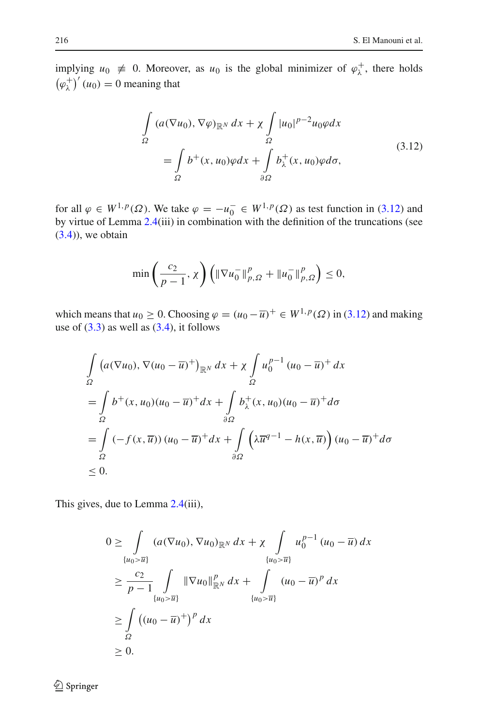implying  $u_0 \neq 0$ . Moreover, as  $u_0$  is the global minimizer of  $\varphi_\lambda^+$ , there holds  $(\varphi_{\lambda}^{+})'(u_0) = 0$  meaning that

$$
\int_{\Omega} (a(\nabla u_0), \nabla \varphi)_{\mathbb{R}^N} dx + \chi \int_{\Omega} |u_0|^{p-2} u_0 \varphi dx
$$
\n
$$
= \int_{\Omega} b^+(x, u_0) \varphi dx + \int_{\partial \Omega} b^+_x(x, u_0) \varphi d\sigma,
$$
\n(3.12)

<span id="page-13-0"></span>for all  $\varphi \in W^{1,p}(\Omega)$ . We take  $\varphi = -u_0^- \in W^{1,p}(\Omega)$  as test function in [\(3.12\)](#page-13-0) and by virtue of Lemma [2.4\(](#page-3-0)iii) in combination with the definition of the truncations (see  $(3.4)$ , we obtain

$$
\min\left(\frac{c_2}{p-1}, \chi\right) \left( \|\nabla u_0^-\|_{p,\Omega}^p + \|u_0^-\|_{p,\Omega}^p \right) \le 0,
$$

which means that  $u_0 \ge 0$ . Choosing  $\varphi = (u_0 - \overline{u})^+ \in W^{1,p}(\Omega)$  in [\(3.12\)](#page-13-0) and making use of  $(3.3)$  as well as  $(3.4)$ , it follows

$$
\int_{\Omega} \left( a(\nabla u_0), \nabla (u_0 - \overline{u})^+ \right)_{\mathbb{R}^N} dx + \chi \int_{\Omega} u_0^{p-1} (u_0 - \overline{u})^+ dx
$$
\n
$$
= \int_{\Omega} b^+ (x, u_0) (u_0 - \overline{u})^+ dx + \int_{\partial \Omega} b^+_{\lambda} (x, u_0) (u_0 - \overline{u})^+ d\sigma
$$
\n
$$
= \int_{\Omega} (-f(x, \overline{u})) (u_0 - \overline{u})^+ dx + \int_{\partial \Omega} \left( \lambda \overline{u}^{q-1} - h(x, \overline{u}) \right) (u_0 - \overline{u})^+ d\sigma
$$
\n
$$
\leq 0.
$$

This gives, due to Lemma [2.4\(](#page-3-0)iii),

$$
0 \geq \int_{\{u_0 > \overline{u}\}} (a(\nabla u_0), \nabla u_0)_{\mathbb{R}^N} dx + \chi \int_{\{u_0 > \overline{u}\}} u_0^{p-1} (u_0 - \overline{u}) dx
$$
  
\n
$$
\geq \frac{c_2}{p-1} \int_{\{u_0 > \overline{u}\}} \|\nabla u_0\|_{\mathbb{R}^N}^p dx + \int_{\{u_0 > \overline{u}\}} (u_0 - \overline{u})^p dx
$$
  
\n
$$
\geq \int_{\Omega} ((u_0 - \overline{u})^+)^p dx
$$
  
\n
$$
\geq 0.
$$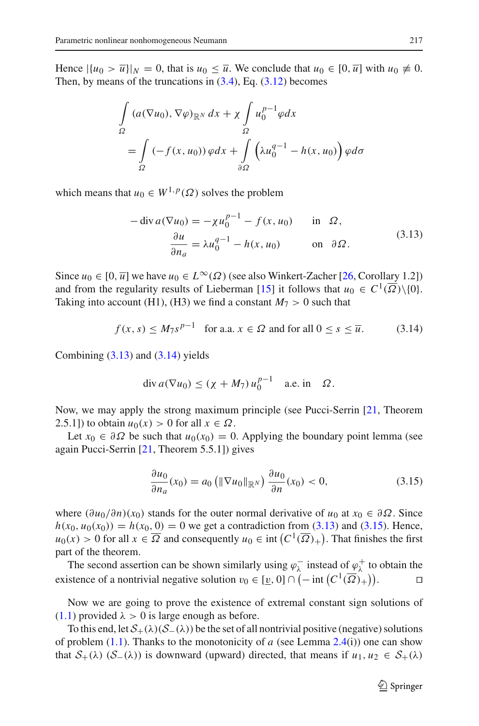Hence  $|\{u_0 > \overline{u}\}\|_N = 0$ , that is  $u_0 \leq \overline{u}$ . We conclude that  $u_0 \in [0, \overline{u}]$  with  $u_0 \neq 0$ . Then, by means of the truncations in  $(3.4)$ , Eq.  $(3.12)$  becomes

$$
\int_{\Omega} (a(\nabla u_0), \nabla \varphi)_{\mathbb{R}^N} dx + \chi \int_{\Omega} u_0^{p-1} \varphi dx
$$
\n
$$
= \int_{\Omega} (-f(x, u_0)) \varphi dx + \int_{\partial \Omega} \left( \lambda u_0^{q-1} - h(x, u_0) \right) \varphi d\sigma
$$

<span id="page-14-0"></span>which means that  $u_0 \in W^{1,p}(\Omega)$  solves the problem

$$
-\operatorname{div} a(\nabla u_0) = -\chi u_0^{p-1} - f(x, u_0) \quad \text{in } \Omega,
$$
  

$$
\frac{\partial u}{\partial n_a} = \lambda u_0^{q-1} - h(x, u_0) \quad \text{on } \partial \Omega.
$$
 (3.13)

Since  $u_0 \in [0, \overline{u}]$  we have  $u_0 \in L^{\infty}(\Omega)$  (see also Winkert-Zacher [\[26](#page-30-10), Corollary 1.2]) and from the regularity results of Lieberman [\[15](#page-30-9)] it follows that  $u_0 \in C^1(\overline{\Omega}) \setminus \{0\}$ . Taking into account (H1), (H3) we find a constant  $M_7 > 0$  such that

$$
f(x, s) \le M_7 s^{p-1} \quad \text{for a.a. } x \in \Omega \text{ and for all } 0 \le s \le \overline{u}. \tag{3.14}
$$

Combining  $(3.13)$  and  $(3.14)$  yields

<span id="page-14-1"></span>
$$
\operatorname{div} a(\nabla u_0) \le (\chi + M_7) u_0^{p-1} \quad \text{a.e. in} \quad \Omega.
$$

Now, we may apply the strong maximum principle (see Pucci-Serrin [\[21](#page-30-11), Theorem 2.5.1]) to obtain  $u_0(x) > 0$  for all  $x \in \Omega$ .

Let  $x_0 \in \partial \Omega$  be such that  $u_0(x_0) = 0$ . Applying the boundary point lemma (see again Pucci-Serrin [\[21](#page-30-11), Theorem 5.5.1]) gives

<span id="page-14-2"></span>
$$
\frac{\partial u_0}{\partial n_a}(x_0) = a_0 \left( \|\nabla u_0\|_{\mathbb{R}^N} \right) \frac{\partial u_0}{\partial n}(x_0) < 0,\tag{3.15}
$$

where  $(\partial u_0/\partial n)(x_0)$  stands for the outer normal derivative of  $u_0$  at  $x_0 \in \partial \Omega$ . Since  $h(x_0, u_0(x_0)) = h(x_0, 0) = 0$  we get a contradiction from [\(3.13\)](#page-14-0) and [\(3.15\)](#page-14-2). Hence,  $u_0(x) > 0$  for all  $x \in \overline{\Omega}$  and consequently  $u_0 \in \text{int}\left(C^1(\overline{\Omega})_+\right)$ . That finishes the first part of the theorem.

The second assertion can be shown similarly using  $\varphi_{\lambda}^-$  instead of  $\varphi_{\lambda}^+$  to obtain the existence of a nontrivial negative solution  $v_0 \in [\underline{v}, 0] \cap (-\text{int}(C^1(\overline{\Omega})_+)).$ 

Now we are going to prove the existence of extremal constant sign solutions of  $(1.1)$  provided  $\lambda > 0$  is large enough as before.

To this end, let  $S_+(\lambda)(S_-(\lambda))$  be the set of all nontrivial positive (negative) solutions of problem  $(1.1)$ . Thanks to the monotonicity of *a* (see Lemma [2.4\(](#page-3-0)i)) one can show that  $S_+(\lambda)$  ( $S_-(\lambda)$ ) is downward (upward) directed, that means if  $u_1, u_2 \in S_+(\lambda)$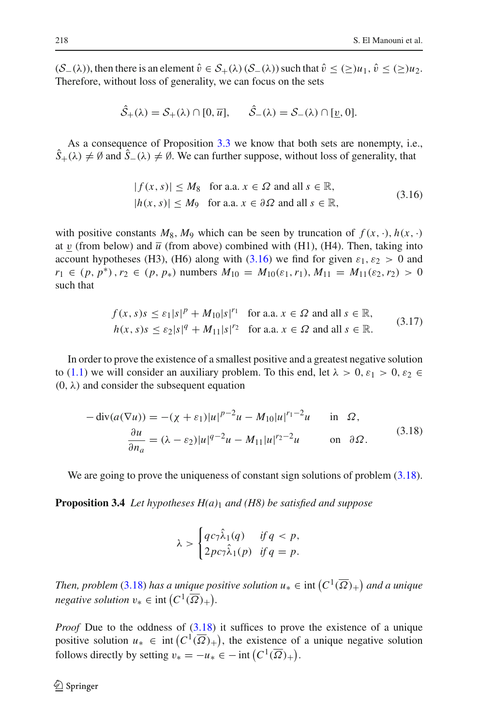$(S_-(\lambda))$ , then there is an element  $\hat{v} \in S_+(\lambda)$   $(S_-(\lambda))$  such that  $\hat{v} \leq (\geq)u_1, \hat{v} \leq (\geq)u_2$ . Therefore, without loss of generality, we can focus on the sets

$$
\hat{S}_+(\lambda) = S_+(\lambda) \cap [0, \overline{u}], \qquad \hat{S}_-(\lambda) = S_-(\lambda) \cap [\underline{v}, 0].
$$

As a consequence of Proposition [3.3](#page-10-2) we know that both sets are nonempty, i.e.,  $S_+(\lambda) \neq \emptyset$  and  $S_-(\lambda) \neq \emptyset$ . We can further suppose, without loss of generality, that

$$
|f(x, s)| \le M_8 \text{ for a.a. } x \in \Omega \text{ and all } s \in \mathbb{R},
$$
  

$$
|h(x, s)| \le M_9 \text{ for a.a. } x \in \partial \Omega \text{ and all } s \in \mathbb{R},
$$
  
(3.16)

<span id="page-15-0"></span>with positive constants  $M_8$ ,  $M_9$  which can be seen by truncation of  $f(x, \cdot)$ ,  $h(x, \cdot)$ at v (from below) and  $\overline{u}$  (from above) combined with (H1), (H4). Then, taking into account hypotheses (H3), (H6) along with [\(3.16\)](#page-15-0) we find for given  $\varepsilon_1$ ,  $\varepsilon_2 > 0$  and  $r_1 \in (p, p^*)$ ,  $r_2 \in (p, p_*)$  numbers  $M_{10} = M_{10}(\varepsilon_1, r_1), M_{11} = M_{11}(\varepsilon_2, r_2) > 0$ such that

$$
f(x, s)s \le \varepsilon_1|s|^p + M_{10}|s|^{r_1} \quad \text{for a.a. } x \in \Omega \text{ and all } s \in \mathbb{R},
$$
  
\n
$$
h(x, s)s \le \varepsilon_2|s|^q + M_{11}|s|^{r_2} \quad \text{for a.a. } x \in \Omega \text{ and all } s \in \mathbb{R}.
$$
 (3.17)

<span id="page-15-2"></span>In order to prove the existence of a smallest positive and a greatest negative solution to [\(1.1\)](#page-1-0) we will consider an auxiliary problem. To this end, let  $\lambda > 0$ ,  $\varepsilon_1 > 0$ ,  $\varepsilon_2 \in$  $(0, \lambda)$  and consider the subsequent equation

$$
-\operatorname{div}(a(\nabla u)) = -(\chi + \varepsilon_1)|u|^{p-2}u - M_{10}|u|^{r_1-2}u \quad \text{in } \Omega,
$$
  

$$
\frac{\partial u}{\partial n_a} = (\lambda - \varepsilon_2)|u|^{q-2}u - M_{11}|u|^{r_2-2}u \quad \text{on } \partial\Omega.
$$
 (3.18)

<span id="page-15-1"></span>We are going to prove the uniqueness of constant sign solutions of problem  $(3.18)$ .

<span id="page-15-3"></span>**Proposition 3.4** *Let hypotheses H(a)*<sup>1</sup> *and (H8) be satisfied and suppose*

$$
\lambda > \begin{cases} qc_7\hat{\lambda}_1(q) & \text{if } q < p, \\ 2pc_7\hat{\lambda}_1(p) & \text{if } q = p. \end{cases}
$$

*Then, problem* [\(3.18\)](#page-15-1) *has a unique positive solution*  $u_* \in \text{int}\left(C^1(\overline{\Omega})_+\right)$  *and a unique negative solution*  $v_* \in \text{int}\left(C^1(\overline{\Omega})_+\right)$ .

*Proof* Due to the oddness of [\(3.18\)](#page-15-1) it suffices to prove the existence of a unique positive solution  $u_* \in \text{int}(C^1(\overline{\Omega})_+)$ , the existence of a unique negative solution follows directly by setting  $v_* = -u_* \in -\text{int}\left(C^1(\overline{\Omega})_+\right)$ .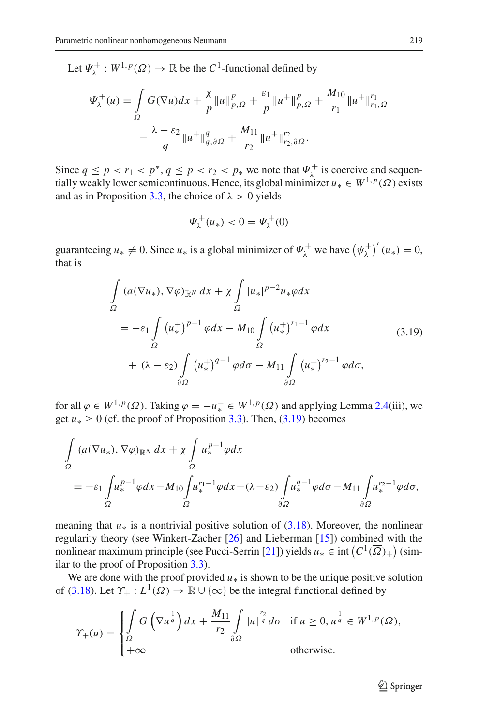Let  $\Psi_{\lambda}^{+}: W^{1,p}(\Omega) \to \mathbb{R}$  be the  $C^1$ -functional defined by

$$
\Psi_{\lambda}^{+}(u) = \int_{\Omega} G(\nabla u) dx + \frac{\chi}{p} ||u||_{p,\Omega}^{p} + \frac{\varepsilon_{1}}{p} ||u^{+}||_{p,\Omega}^{p} + \frac{M_{10}}{r_{1}} ||u^{+}||_{r_{1},\Omega}^{r_{1}} -\frac{\lambda - \varepsilon_{2}}{q} ||u^{+}||_{q,\partial\Omega}^{q} + \frac{M_{11}}{r_{2}} ||u^{+}||_{r_{2},\partial\Omega}^{r_{2}}.
$$

Since  $q \leq p < r_1 < p^*$ ,  $q \leq p < r_2 < p_*$  we note that  $\Psi_{\lambda}^+$  is coercive and sequentially weakly lower semicontinuous. Hence, its global minimizer  $u_* \in W^{1,p}(\Omega)$  exists and as in Proposition [3.3,](#page-10-2) the choice of  $\lambda > 0$  yields

$$
\Psi_{\lambda}^{+}(u_{*})<0=\Psi_{\lambda}^{+}(0)
$$

guaranteeing  $u_* \neq 0$ . Since  $u_*$  is a global minimizer of  $\Psi_\lambda^+$  we have  $(\psi_\lambda^+)'(u_*) = 0$ , that is

$$
\int_{\Omega} (a(\nabla u_*), \nabla \varphi)_{\mathbb{R}^N} dx + \chi \int_{\Omega} |u_*|^{p-2} u_* \varphi dx
$$
\n
$$
= -\varepsilon_1 \int_{\Omega} (u_*^+)^{p-1} \varphi dx - M_{10} \int_{\Omega} (u_*^+)^{r_1-1} \varphi dx
$$
\n
$$
+ (\lambda - \varepsilon_2) \int_{\partial \Omega} (u_*^+)^{q-1} \varphi d\sigma - M_{11} \int_{\partial \Omega} (u_*^+)^{r_2-1} \varphi d\sigma,
$$
\n(3.19)

<span id="page-16-0"></span>for all  $\varphi \in W^{1,p}(\Omega)$ . Taking  $\varphi = -u^-_+ \in W^{1,p}(\Omega)$  and applying Lemma [2.4\(](#page-3-0)iii), we get  $u_* \ge 0$  (cf. the proof of Proposition [3.3\)](#page-10-2). Then,  $(3.19)$  becomes

$$
\int_{\Omega} (a(\nabla u_*), \nabla \varphi)_{\mathbb{R}^N} dx + \chi \int_{\Omega} u_*^{p-1} \varphi dx
$$
\n
$$
= -\varepsilon_1 \int_{\Omega} u_*^{p-1} \varphi dx - M_{10} \int_{\Omega} u_*^{r_1-1} \varphi dx - (\lambda - \varepsilon_2) \int_{\partial \Omega} u_*^{q-1} \varphi d\sigma - M_{11} \int_{\partial \Omega} u_*^{r_2-1} \varphi d\sigma,
$$

meaning that  $u_*$  is a nontrivial positive solution of  $(3.18)$ . Moreover, the nonlinear regularity theory (see Winkert-Zacher [\[26\]](#page-30-10) and Lieberman [\[15\]](#page-30-9)) combined with the nonlinear maximum principle (see Pucci-Serrin [\[21\]](#page-30-11)) yields  $u_* \in \text{int}\left(C^1(\overline{\Omega})_+\right)$  (similar to the proof of Proposition [3.3\)](#page-10-2).

We are done with the proof provided  $u<sub>*</sub>$  is shown to be the unique positive solution of [\(3.18\)](#page-15-1). Let  $\Upsilon_+ : L^1(\Omega) \to \mathbb{R} \cup {\infty}$  be the integral functional defined by

$$
\gamma_{+}(u) = \begin{cases} \int_{\Omega} G\left(\nabla u^{\frac{1}{q}}\right) dx + \frac{M_{11}}{r_2} \int_{\partial\Omega} |u|^{\frac{r_2}{q}} d\sigma & \text{if } u \ge 0, u^{\frac{1}{q}} \in W^{1,p}(\Omega), \\ +\infty & \text{otherwise.} \end{cases}
$$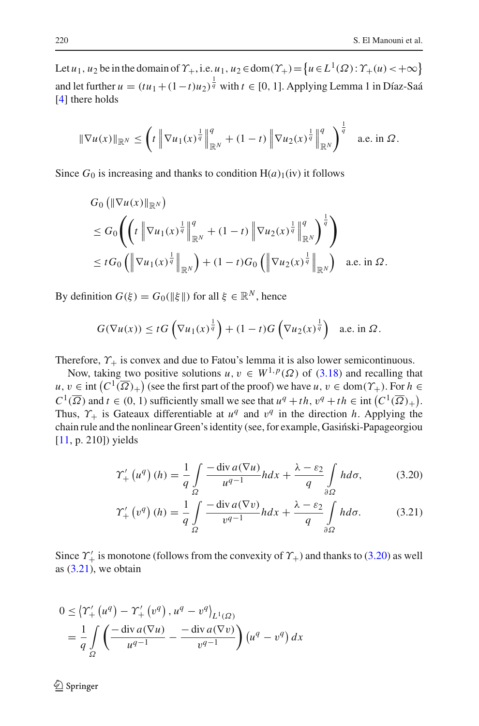Let *u*<sub>1</sub>, *u*<sub>2</sub> be in the domain of  $\Upsilon_+$ , i.e. *u*<sub>1</sub>, *u*<sub>2</sub>  $\in$  dom( $\Upsilon_+$ )  $=$   $\{u \in L^1(\Omega): \Upsilon_+(u)$   $\lt +\infty\}$ and let further  $u = (tu_1 + (1-t)u_2)^{\frac{1}{q}}$  with  $t \in [0, 1]$ . Applying Lemma 1 in Díaz-Saá [\[4](#page-29-12)] there holds

$$
\|\nabla u(x)\|_{\mathbb{R}^N}\leq \left(t\left\|\nabla u_1(x)^{\frac{1}{q}}\right\|_{\mathbb{R}^N}^q+(1-t)\left\|\nabla u_2(x)^{\frac{1}{q}}\right\|_{\mathbb{R}^N}^q\right)^{\frac{1}{q}}\quad\text{a.e. in }\Omega.
$$

Since  $G_0$  is increasing and thanks to condition  $H(a)_1$ (iv) it follows

$$
G_{0} (\|\nabla u(x)\|_{\mathbb{R}^{N}})\n\n\leq G_{0} \left( \left( t \left\|\nabla u_{1}(x)^{\frac{1}{q}}\right\|_{\mathbb{R}^{N}}^{q} + (1-t) \left\|\nabla u_{2}(x)^{\frac{1}{q}}\right\|_{\mathbb{R}^{N}}^{q} \right)^{\frac{1}{q}} \right) \\
\leq t G_{0} \left( \left\|\nabla u_{1}(x)^{\frac{1}{q}}\right\|_{\mathbb{R}^{N}} \right) + (1-t)G_{0} \left( \left\|\nabla u_{2}(x)^{\frac{1}{q}}\right\|_{\mathbb{R}^{N}} \right) \text{ a.e. in } \Omega.
$$

By definition  $G(\xi) = G_0(\|\xi\|)$  for all  $\xi \in \mathbb{R}^N$ , hence

$$
G(\nabla u(x)) \leq tG\left(\nabla u_1(x)^{\frac{1}{q}}\right) + (1-t)G\left(\nabla u_2(x)^{\frac{1}{q}}\right) \quad \text{a.e. in } \Omega.
$$

Therefore,  $\Upsilon_+$  is convex and due to Fatou's lemma it is also lower semicontinuous.

Now, taking two positive solutions  $u, v \in W^{1,p}(\Omega)$  of [\(3.18\)](#page-15-1) and recalling that  $u, v \in \text{int}(C^1(\overline{\Omega})_+)$  (see the first part of the proof) we have  $u, v \in \text{dom}(\Upsilon_+)$ . For  $h \in$  $C^1(\overline{\Omega})$  and  $t \in (0, 1)$  sufficiently small we see that  $u^q + th$ ,  $v^q + th \in \text{int}(C^1(\overline{\Omega})_+)$ . Thus,  $\gamma_+$  is Gateaux differentiable at  $u^q$  and  $v^q$  in the direction *h*. Applying the chain rule and the nonlinear Green's identity (see, for example, Gasinski-Papageorgiou [\[11](#page-29-5), p. 210]) yields

<span id="page-17-0"></span>
$$
\Upsilon_{+}'\left(u^{q}\right)(h) = \frac{1}{q} \int_{\Omega} \frac{-\operatorname{div} a(\nabla u)}{u^{q-1}} h dx + \frac{\lambda - \varepsilon_{2}}{q} \int_{\partial\Omega} h d\sigma, \tag{3.20}
$$

<span id="page-17-1"></span>
$$
\Upsilon'_{+}\left(v^{q}\right)(h) = \frac{1}{q} \int_{\Omega} \frac{-\operatorname{div} a(\nabla v)}{v^{q-1}} h dx + \frac{\lambda - \varepsilon_{2}}{q} \int_{\partial\Omega} h d\sigma. \tag{3.21}
$$

Since  $\gamma'_{+}$  is monotone (follows from the convexity of  $\gamma_{+}$ ) and thanks to [\(3.20\)](#page-17-0) as well as  $(3.21)$ , we obtain

$$
0 \leq \left\langle Y'_{+}\left(u^{q}\right) - Y'_{+}\left(v^{q}\right), u^{q} - v^{q}\right\rangle_{L^{1}(\Omega)}
$$
  
= 
$$
\frac{1}{q} \int_{\Omega} \left( \frac{-\operatorname{div} a(\nabla u)}{u^{q-1}} - \frac{-\operatorname{div} a(\nabla v)}{v^{q-1}} \right) \left(u^{q} - v^{q}\right) dx
$$

 $\mathcal{L}$  Springer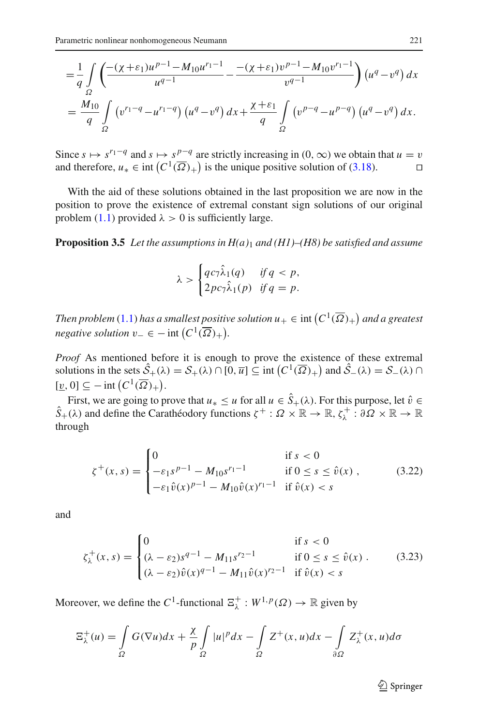$$
= \frac{1}{q} \int_{\Omega} \left( \frac{-(\chi + \varepsilon_1)u^{p-1} - M_{10}u^{r_1-1}}{u^{q-1}} - \frac{-(\chi + \varepsilon_1)v^{p-1} - M_{10}v^{r_1-1}}{v^{q-1}} \right) (u^q - v^q) dx
$$
  

$$
= \frac{M_{10}}{q} \int_{\Omega} \left( v^{r_1-q} - u^{r_1-q} \right) (u^q - v^q) dx + \frac{\chi + \varepsilon_1}{q} \int_{\Omega} \left( v^{p-q} - u^{p-q} \right) (u^q - v^q) dx.
$$

Since  $s \mapsto s^{r_1-q}$  and  $s \mapsto s^{p-q}$  are strictly increasing in  $(0, \infty)$  we obtain that  $u = v$  and therefore,  $u_* \in \text{int } (C^1(\overline{\Omega})_+)$  is the unique positive solution of (3.18). and therefore,  $u_* \in \text{int}(C^1(\overline{\Omega})_+)$  is the unique positive solution of [\(3.18\)](#page-15-1). □

With the aid of these solutions obtained in the last proposition we are now in the position to prove the existence of extremal constant sign solutions of our original problem [\(1.1\)](#page-1-0) provided  $\lambda > 0$  is sufficiently large.

<span id="page-18-2"></span>**Proposition 3.5** *Let the assumptions in H(a)*<sup>1</sup> *and (H1)–(H8) be satisfied and assume*

$$
\lambda > \begin{cases} qc_7\hat{\lambda}_1(q) & \text{if } q < p, \\ 2pc_7\hat{\lambda}_1(p) & \text{if } q = p. \end{cases}
$$

*Then problem* [\(1.1\)](#page-1-0) has a smallest positive solution  $u_+ \in \text{int}\left(C^1(\overline{\Omega})_+\right)$  and a greatest *negative solution*  $v_-\in$  − int  $(C^1(\overline{\Omega})_+).$ 

*Proof* As mentioned before it is enough to prove the existence of these extremal solutions in the sets  $\hat{S}_+(\lambda) = S_+(\lambda) \cap [0, \overline{u}] \subseteq \text{int} \left( C^1(\overline{\Omega})_+ \right)$  and  $\hat{S}_-(\lambda) = S_-(\lambda) \cap$  $[\underline{v}, 0] \subseteq -\text{int}\left(C^1(\overline{\Omega})_+\right).$ 

First, we are going to prove that  $u_* \le u$  for all  $u \in S_+(\lambda)$ . For this purpose, let  $\hat{v} \in \mathbb{R}$  $\hat{S}_+(\lambda)$  and define the Carathéodory functions  $\zeta^+:\Omega\times\mathbb{R}\to\mathbb{R}, \zeta^+_\lambda:\partial\Omega\times\mathbb{R}\to\mathbb{R}$ through

<span id="page-18-0"></span>
$$
\zeta^{+}(x,s) = \begin{cases}\n0 & \text{if } s < 0 \\
-\varepsilon_1 s^{p-1} - M_{10} s^{r_1 - 1} & \text{if } 0 \le s \le \hat{v}(x) , \\
-\varepsilon_1 \hat{v}(x)^{p-1} - M_{10} \hat{v}(x)^{r_1 - 1} & \text{if } \hat{v}(x) < s\n\end{cases}
$$
\n(3.22)

and

$$
\zeta_{\lambda}^{+}(x,s) = \begin{cases}\n0 & \text{if } s < 0 \\
(\lambda - \varepsilon_{2})s^{q-1} - M_{11}s^{r_{2}-1} & \text{if } 0 \le s \le \hat{v}(x) . \\
(\lambda - \varepsilon_{2})\hat{v}(x)^{q-1} - M_{11}\hat{v}(x)^{r_{2}-1} & \text{if } \hat{v}(x) < s\n\end{cases}
$$
\n(3.23)

Moreover, we define the  $C^1$ -functional  $\Xi_\lambda^+ : W^{1,p}(\Omega) \to \mathbb{R}$  given by

$$
\Xi_{\lambda}^{+}(u) = \int_{\Omega} G(\nabla u) dx + \frac{\chi}{p} \int_{\Omega} |u|^p dx - \int_{\Omega} Z^{+}(x, u) dx - \int_{\partial \Omega} Z^{+}_{\lambda}(x, u) d\sigma
$$

<span id="page-18-1"></span> $\mathcal{D}$  Springer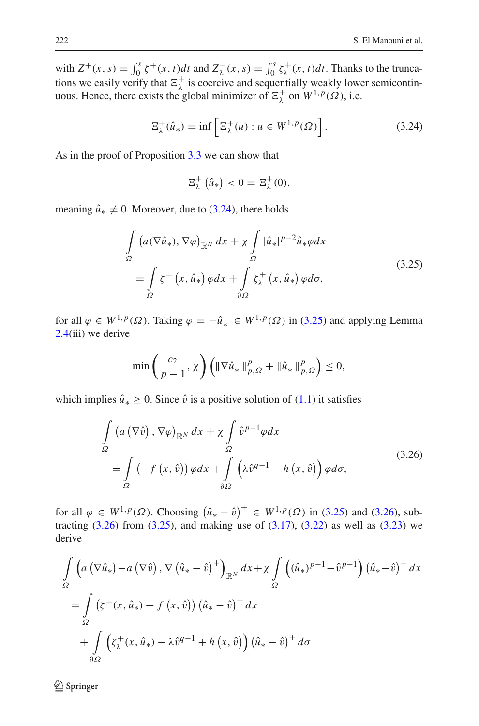with  $Z^+(x, s) = \int_0^s \zeta^+(x, t)dt$  and  $Z^+_{\lambda}(x, s) = \int_0^s \zeta^+_{\lambda}(x, t)dt$ . Thanks to the truncations we easily verify that  $\Xi_{\lambda}^{+}$  is coercive and sequentially weakly lower semicontinuous. Hence, there exists the global minimizer of  $\Xi_{\lambda}^{+}$  on  $W^{1,p}(\Omega)$ , i.e.

$$
\Xi_{\lambda}^{+}(\hat{u}_{*}) = \inf \left[ \Xi_{\lambda}^{+}(u) : u \in W^{1,p}(\Omega) \right]. \tag{3.24}
$$

As in the proof of Proposition [3.3](#page-10-2) we can show that

<span id="page-19-0"></span>
$$
\Xi_{\lambda}^{+}(\hat{u}_{*})<0=\Xi_{\lambda}^{+}(0),
$$

<span id="page-19-1"></span>meaning  $\hat{u}_* \neq 0$ . Moreover, due to [\(3.24\)](#page-19-0), there holds

$$
\int_{\Omega} \left( a(\nabla \hat{u}_*), \nabla \varphi \right)_{\mathbb{R}^N} dx + \chi \int_{\Omega} |\hat{u}_*|^{p-2} \hat{u}_* \varphi dx
$$
\n
$$
= \int_{\Omega} \zeta^+ (x, \hat{u}_*) \varphi dx + \int_{\partial \Omega} \zeta^+_{\lambda} (x, \hat{u}_*) \varphi d\sigma,
$$
\n(3.25)

for all  $\varphi \in W^{1,p}(\Omega)$ . Taking  $\varphi = -\hat{u}_*^- \in W^{1,p}(\Omega)$  in [\(3.25\)](#page-19-1) and applying Lemma [2.4\(](#page-3-0)iii) we derive

$$
\min\left(\frac{c_2}{p-1}, \chi\right) \left( \|\nabla \hat{u}_*^-\|_{p,\Omega}^p + \|\hat{u}_*^-\|_{p,\Omega}^p \right) \le 0,
$$

<span id="page-19-2"></span>which implies  $\hat{u}_* \geq 0$ . Since  $\hat{v}$  is a positive solution of [\(1.1\)](#page-1-0) it satisfies

$$
\int_{\Omega} \left( a\left(\nabla \hat{v}\right), \nabla \varphi \right)_{\mathbb{R}^N} dx + \chi \int_{\Omega} \hat{v}^{p-1} \varphi dx
$$
\n
$$
= \int_{\Omega} \left( -f\left(x, \hat{v}\right) \right) \varphi dx + \int_{\partial \Omega} \left( \lambda \hat{v}^{q-1} - h\left(x, \hat{v}\right) \right) \varphi d\sigma, \tag{3.26}
$$

for all  $\varphi \in W^{1,p}(\Omega)$ . Choosing  $(\hat{u}_* - \hat{v})^+ \in W^{1,p}(\Omega)$  in [\(3.25\)](#page-19-1) and [\(3.26\)](#page-19-2), subtracting  $(3.26)$  from  $(3.25)$ , and making use of  $(3.17)$ ,  $(3.22)$  as well as  $(3.23)$  we derive

$$
\int_{\Omega} \left( a \left( \nabla \hat{u}_* \right) - a \left( \nabla \hat{v} \right), \nabla \left( \hat{u}_* - \hat{v} \right)^+ \right)_{\mathbb{R}^N} dx + \chi \int_{\Omega} \left( (\hat{u}_*)^{p-1} - \hat{v}^{p-1} \right) \left( \hat{u}_* - \hat{v} \right)^+ dx
$$
\n
$$
= \int_{\Omega} \left( \zeta^+ (x, \hat{u}_*) + f \left( x, \hat{v} \right) \right) \left( \hat{u}_* - \hat{v} \right)^+ dx
$$
\n
$$
+ \int_{\partial \Omega} \left( \zeta^+_{\lambda} (x, \hat{u}_*) - \lambda \hat{v}^{q-1} + h \left( x, \hat{v} \right) \right) \left( \hat{u}_* - \hat{v} \right)^+ d\sigma
$$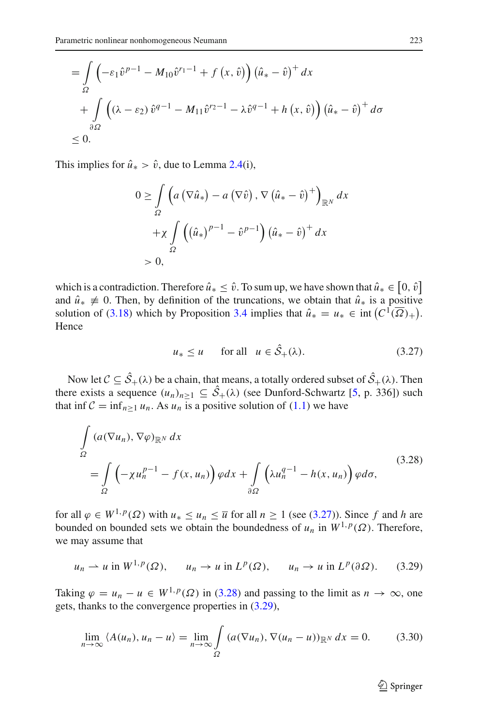$$
\begin{aligned} &= \int\limits_{\Omega} \left( -\varepsilon_1 \hat{v}^{p-1} - M_{10} \hat{v}^{r_1-1} + f\left(x, \hat{v}\right) \right) \left( \hat{u}_* - \hat{v} \right)^+ dx \\ &+ \int\limits_{\partial\Omega} \left( (\lambda - \varepsilon_2) \hat{v}^{q-1} - M_{11} \hat{v}^{r_2-1} - \lambda \hat{v}^{q-1} + h\left(x, \hat{v}\right) \right) \left( \hat{u}_* - \hat{v} \right)^+ d\sigma \\ &\le 0. \end{aligned}
$$

This implies for  $\hat{u}_* > \hat{v}$ , due to Lemma [2.4\(](#page-3-0)i),

$$
0 \geq \int_{\Omega} \left( a \left( \nabla \hat{u}_* \right) - a \left( \nabla \hat{v} \right), \nabla \left( \hat{u}_* - \hat{v} \right)^+ \right)_{\mathbb{R}^N} dx
$$

$$
+ \chi \int_{\Omega} \left( \left( \hat{u}_* \right)^{p-1} - \hat{v}^{p-1} \right) \left( \hat{u}_* - \hat{v} \right)^+ dx
$$

$$
> 0,
$$

which is a contradiction. Therefore  $\hat{u}_* \leq \hat{v}$ . To sum up, we have shown that  $\hat{u}_* \in [0, \hat{v}]$ and  $\hat{u}_* \neq 0$ . Then, by definition of the truncations, we obtain that  $\hat{u}_*$  is a positive solution of [\(3.18\)](#page-15-1) which by Proposition [3.4](#page-15-3) implies that  $\hat{u}_* = u_* \in \text{int} (C^1(\overline{\Omega})_+).$ Hence

<span id="page-20-0"></span>
$$
u_* \le u \qquad \text{for all} \quad u \in \hat{S}_+(\lambda). \tag{3.27}
$$

Now let  $C \subseteq S_+(\lambda)$  be a chain, that means, a totally ordered subset of  $S_+(\lambda)$ . Then there exists a sequence  $(u_n)_{n \geq 1} \subseteq S_+(\lambda)$  (see Dunford-Schwartz [\[5](#page-29-13), p. 336]) such that inf  $C = \inf_{n>1} u_n$ . As  $u_n$  is a positive solution of [\(1.1\)](#page-1-0) we have

$$
\int_{\Omega} (a(\nabla u_n), \nabla \varphi)_{\mathbb{R}^N} dx
$$
\n
$$
= \int_{\Omega} \left( -\chi u_n^{p-1} - f(x, u_n) \right) \varphi dx + \int_{\partial \Omega} \left( \lambda u_n^{q-1} - h(x, u_n) \right) \varphi d\sigma,
$$
\n(3.28)

<span id="page-20-1"></span>for all  $\varphi \in W^{1,p}(\Omega)$  with  $u_* \leq u_n \leq \overline{u}$  for all  $n \geq 1$  (see [\(3.27\)](#page-20-0)). Since f and h are bounded on bounded sets we obtain the boundedness of  $u_n$  in  $W^{1,p}(\Omega)$ . Therefore, we may assume that

$$
u_n \rightharpoonup u
$$
 in  $W^{1,p}(\Omega)$ ,  $u_n \rightharpoonup u$  in  $L^p(\Omega)$ ,  $u_n \rightharpoonup u$  in  $L^p(\partial \Omega)$ . (3.29)

Taking  $\varphi = u_n - u \in W^{1,p}(\Omega)$  in [\(3.28\)](#page-20-1) and passing to the limit as  $n \to \infty$ , one gets, thanks to the convergence properties in [\(3.29\)](#page-20-2),

$$
\lim_{n \to \infty} \langle A(u_n), u_n - u \rangle = \lim_{n \to \infty} \int_{\Omega} \left( a(\nabla u_n), \nabla (u_n - u) \right)_{\mathbb{R}^N} dx = 0. \tag{3.30}
$$

<span id="page-20-3"></span><span id="page-20-2"></span> $\mathcal{D}$  Springer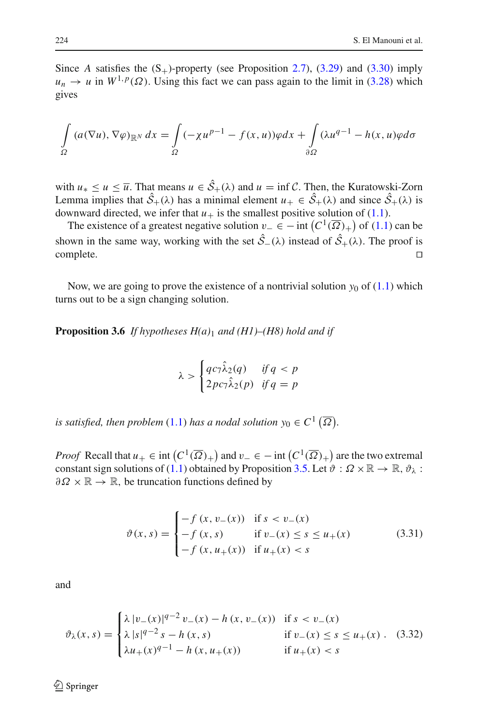Since *A* satisfies the  $(S_+)$ -property (see Proposition [2.7\)](#page-5-1), [\(3.29\)](#page-20-2) and [\(3.30\)](#page-20-3) imply  $u_n \to u$  in  $W^{1,p}(\Omega)$ . Using this fact we can pass again to the limit in [\(3.28\)](#page-20-1) which gives

$$
\int_{\Omega} (a(\nabla u), \nabla \varphi)_{\mathbb{R}^N} dx = \int_{\Omega} (-\chi u^{p-1} - f(x, u)) \varphi dx + \int_{\partial \Omega} (\lambda u^{q-1} - h(x, u)) \varphi d\sigma
$$

with  $u_* \le u \le \overline{u}$ . That means  $u \in S_+(\lambda)$  and  $u = \inf \mathcal{C}$ . Then, the Kuratowski-Zorn Lemma implies that  $S_+(\lambda)$  has a minimal element  $u_+ \in S_+(\lambda)$  and since  $S_+(\lambda)$  is downward directed, we infer that  $u_+$  is the smallest positive solution of [\(1.1\)](#page-1-0).

The existence of a greatest negative solution  $v_-\in$  − int  $(C^1(\overline{\Omega})_+)$  of [\(1.1\)](#page-1-0) can be shown in the same way, working with the set  $S_-(\lambda)$  instead of  $S_+(\lambda)$ . The proof is complete.

<span id="page-21-2"></span>Now, we are going to prove the existence of a nontrivial solution  $y_0$  of  $(1.1)$  which turns out to be a sign changing solution.

**Proposition 3.6** *If hypotheses H(a)*<sup>1</sup> *and (H1)–(H8) hold and if*

$$
\lambda > \begin{cases} qc_7\hat{\lambda}_2(q) & \text{if } q < p \\ 2pc_7\hat{\lambda}_2(p) & \text{if } q = p \end{cases}
$$

*is satisfied, then problem* [\(1.1\)](#page-1-0) *has a nodal solution*  $y_0 \in C^1(\overline{\Omega})$ *.* 

*Proof* Recall that  $u_+ \in \text{int}\left(C^1(\overline{\Omega})_+\right)$  and  $v_- \in -\text{int}\left(C^1(\overline{\Omega})_+\right)$  are the two extremal constant sign solutions of [\(1.1\)](#page-1-0) obtained by Proposition [3.5.](#page-18-2) Let  $\vartheta : \Omega \times \mathbb{R} \to \mathbb{R}$ ,  $\vartheta_{\lambda}$ :  $\partial \Omega \times \mathbb{R} \to \mathbb{R}$ , be truncation functions defined by

<span id="page-21-1"></span><span id="page-21-0"></span>
$$
\vartheta(x, s) = \begin{cases}\n-f(x, v_{-}(x)) & \text{if } s < v_{-}(x) \\
-f(x, s) & \text{if } v_{-}(x) \le s \le u_{+}(x) \\
-f(x, u_{+}(x)) & \text{if } u_{+}(x) < s\n\end{cases}
$$
\n(3.31)

and

$$
\vartheta_{\lambda}(x,s) = \begin{cases} \lambda |v_{-}(x)|^{q-2} v_{-}(x) - h(x, v_{-}(x)) & \text{if } s < v_{-}(x) \\ \lambda |s|^{q-2} s - h(x,s) & \text{if } v_{-}(x) \le s \le u_{+}(x) \\ \lambda u_{+}(x)^{q-1} - h(x, u_{+}(x)) & \text{if } u_{+}(x) < s \end{cases}
$$
(3.32)

 $\circled{2}$  Springer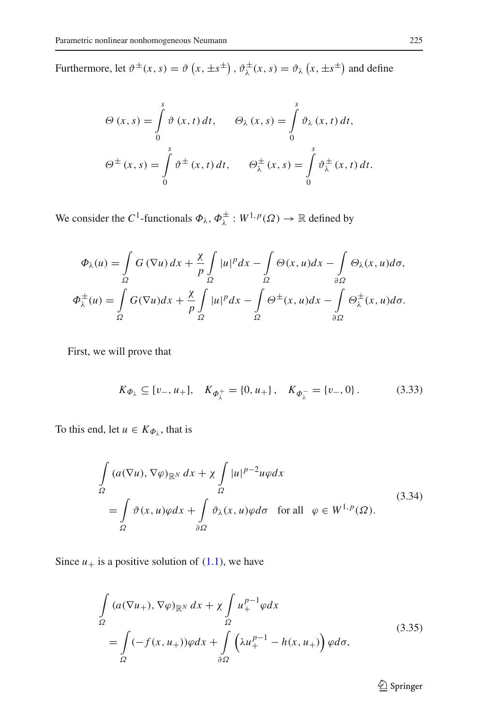Furthermore, let  $\vartheta^{\pm}(x, s) = \vartheta(x, \pm s^{\pm}), \vartheta^{\pm}_{\lambda}(x, s) = \vartheta_{\lambda}(x, \pm s^{\pm})$  and define

$$
\Theta(x, s) = \int_{0}^{s} \vartheta(x, t) dt, \qquad \Theta_{\lambda}(x, s) = \int_{0}^{s} \vartheta_{\lambda}(x, t) dt,
$$

$$
\Theta^{\pm}(x, s) = \int_{0}^{s} \vartheta^{\pm}(x, t) dt, \qquad \Theta_{\lambda}^{\pm}(x, s) = \int_{0}^{s} \vartheta_{\lambda}^{\pm}(x, t) dt.
$$

We consider the *C*<sup>1</sup>-functionals  $\Phi_{\lambda}$ ,  $\Phi_{\lambda}^{\pm}$  :  $W^{1,p}(\Omega) \to \mathbb{R}$  defined by

$$
\Phi_{\lambda}(u) = \int_{\Omega} G(\nabla u) dx + \frac{\chi}{p} \int_{\Omega} |u|^p dx - \int_{\Omega} \Theta(x, u) dx - \int_{\partial \Omega} \Theta_{\lambda}(x, u) d\sigma,
$$
  

$$
\Phi_{\lambda}^{\pm}(u) = \int_{\Omega} G(\nabla u) dx + \frac{\chi}{p} \int_{\Omega} |u|^p dx - \int_{\Omega} \Theta^{\pm}(x, u) dx - \int_{\partial \Omega} \Theta^{\pm}_{\lambda}(x, u) d\sigma.
$$

First, we will prove that

<span id="page-22-2"></span>
$$
K_{\Phi_{\lambda}} \subseteq [v_-, u_+], \quad K_{\Phi_{\lambda}^+} = \{0, u_+\}, \quad K_{\Phi_{\lambda}^-} = \{v_-, 0\}.
$$
 (3.33)

To this end, let  $u \in K_{\Phi_{\lambda}}$ , that is

$$
\int_{\Omega} (a(\nabla u), \nabla \varphi)_{\mathbb{R}^N} dx + \chi \int_{\Omega} |u|^{p-2} u \varphi dx
$$
\n
$$
= \int_{\Omega} \vartheta(x, u) \varphi dx + \int_{\partial \Omega} \vartheta_{\lambda}(x, u) \varphi d\sigma \quad \text{for all} \quad \varphi \in W^{1, p}(\Omega). \tag{3.34}
$$

<span id="page-22-1"></span><span id="page-22-0"></span>Since  $u_+$  is a positive solution of  $(1.1)$ , we have

$$
\int_{\Omega} (a(\nabla u_+), \nabla \varphi)_{\mathbb{R}^N} dx + \chi \int_{\Omega} u_+^{p-1} \varphi dx
$$
\n
$$
= \int_{\Omega} (-f(x, u_+)) \varphi dx + \int_{\partial \Omega} \left( \lambda u_+^{p-1} - h(x, u_+) \right) \varphi d\sigma,
$$
\n(3.35)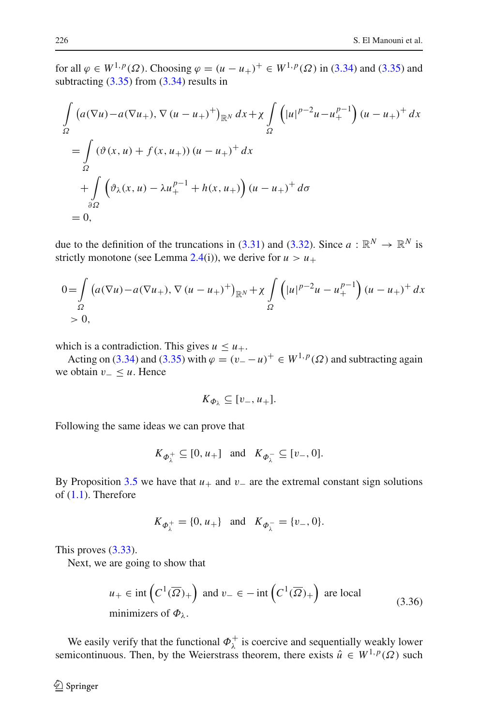for all  $\varphi \in W^{1,p}(\Omega)$ . Choosing  $\varphi = (u - u_+)^+ \in W^{1,p}(\Omega)$  in [\(3.34\)](#page-22-0) and [\(3.35\)](#page-22-1) and subtracting [\(3.35\)](#page-22-1) from [\(3.34\)](#page-22-0) results in

$$
\int_{\Omega} \left( a(\nabla u) - a(\nabla u_+), \nabla (u - u_+)^{+} \right)_{\mathbb{R}^N} dx + \chi \int_{\Omega} \left( |u|^{p-2} u - u_+^{p-1} \right) (u - u_+)^{+} dx
$$
  
\n
$$
= \int_{\Omega} (\vartheta(x, u) + f(x, u_+)) (u - u_+)^{+} dx
$$
  
\n
$$
+ \int_{\partial \Omega} \left( \vartheta_{\lambda}(x, u) - \lambda u_+^{p-1} + h(x, u_+) \right) (u - u_+)^{+} d\sigma
$$
  
\n
$$
= 0,
$$

due to the definition of the truncations in [\(3.31\)](#page-21-0) and [\(3.32\)](#page-21-1). Since  $a : \mathbb{R}^N \to \mathbb{R}^N$  is strictly monotone (see Lemma [2.4\(](#page-3-0)i)), we derive for  $u > u_+$ 

$$
0 = \int_{\Omega} (a(\nabla u) - a(\nabla u_+), \nabla (u - u_+)^+)_{\mathbb{R}^N} + \chi \int_{\Omega} (|u|^{p-2}u - u_+^{p-1}) (u - u_+)^+ dx
$$
  
> 0,

which is a contradiction. This gives  $u \leq u_+$ .

Acting on [\(3.34\)](#page-22-0) and [\(3.35\)](#page-22-1) with  $\varphi = (\nu_- - u)^+ \in W^{1,p}(\Omega)$  and subtracting again we obtain v<sup>−</sup> ≤ *u*. Hence

$$
K_{\varPhi_{\lambda}}\subseteq [v_-,u_+].
$$

Following the same ideas we can prove that

$$
K_{\varPhi_{\lambda}^+} \subseteq [0, u_+] \quad \text{and} \quad K_{\varPhi_{\lambda}^-} \subseteq [v_-, 0].
$$

By Proposition [3.5](#page-18-2) we have that  $u_+$  and  $v_-$  are the extremal constant sign solutions of [\(1.1\)](#page-1-0). Therefore

$$
K_{\phi_{\lambda}^+} = \{0, u_+\}\
$$
 and  $K_{\phi_{\lambda}^-} = \{v_-, 0\}.$ 

This proves [\(3.33\)](#page-22-2).

Next, we are going to show that

$$
u_+ \in \text{int}\left(C^1(\overline{\Omega})_+\right) \text{ and } v_- \in -\text{int}\left(C^1(\overline{\Omega})_+\right) \text{ are local}
$$
  
minimizers of  $\Phi_\lambda$ . (3.36)

<span id="page-23-0"></span>We easily verify that the functional  $\Phi_{\lambda}^{+}$  is coercive and sequentially weakly lower semicontinuous. Then, by the Weierstrass theorem, there exists  $\hat{u} \in W^{1,p}(\Omega)$  such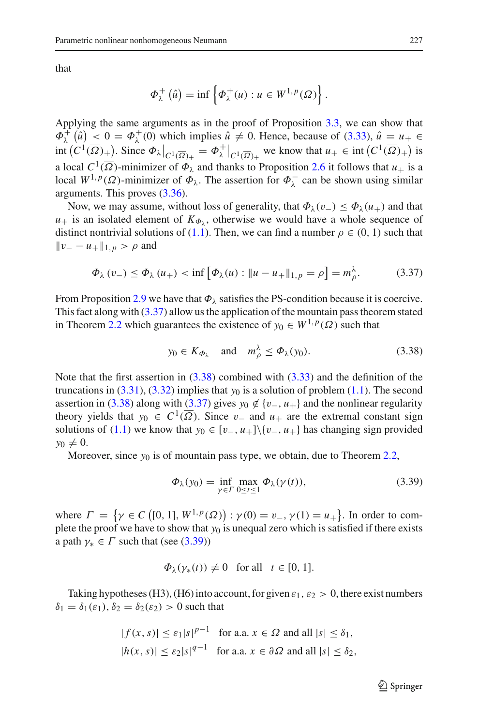that

$$
\Phi_{\lambda}^+(\hat{u}) = \inf \left\{ \Phi_{\lambda}^+(u) : u \in W^{1,p}(\Omega) \right\}.
$$

Applying the same arguments as in the proof of Proposition [3.3,](#page-10-2) we can show that  $\Phi_{\lambda}^{+}(\hat{u}) \leq 0 = \Phi_{\lambda}^{+}(0)$  which implies  $\hat{u} \neq 0$ . Hence, because of [\(3.33\)](#page-22-2),  $\hat{u} = u_{+} \in$  $\int \int_C C^1(\overline{\Omega})_+^{\mathbf{I}}$ . Since  $\Phi_\lambda|_{C^1(\overline{\Omega})_+} = \Phi_\lambda^+|_{C^1(\overline{\Omega})_+}$  we know that  $u_+ \in \text{int}\left(C^1(\overline{\Omega})_+\right)$  is a local  $C^1(\overline{\Omega})$ -minimizer of  $\Phi_\lambda$  and thanks to Proposition [2.6](#page-5-2) it follows that  $u_+$  is a local  $W^{1,p}(\Omega)$ -minimizer of  $\Phi_{\lambda}$ . The assertion for  $\Phi_{\lambda}^-$  can be shown using similar arguments. This proves [\(3.36\)](#page-23-0).

Now, we may assume, without loss of generality, that  $\Phi_{\lambda}(v_{-}) \leq \Phi_{\lambda}(u_{+})$  and that  $u_+$  is an isolated element of  $K_{\Phi_1}$ , otherwise we would have a whole sequence of distinct nontrivial solutions of [\(1.1\)](#page-1-0). Then, we can find a number  $\rho \in (0, 1)$  such that  $||v_ - - u_+||_{1,p} > ρ$  and

$$
\Phi_{\lambda}(v_{-}) \leq \Phi_{\lambda}(u_{+}) < \inf \left[ \Phi_{\lambda}(u) : \|u - u_{+}\|_{1, p} = \rho \right] = m_{\rho}^{\lambda}.
$$
 (3.37)

From Proposition [2.9](#page-7-3) we have that  $\Phi_{\lambda}$  satisfies the PS-condition because it is coercive. This fact along with  $(3.37)$  allow us the application of the mountain pass theorem stated in Theorem [2.2](#page-2-0) which guarantees the existence of  $y_0 \in W^{1,p}(\Omega)$  such that

<span id="page-24-1"></span><span id="page-24-0"></span>
$$
y_0 \in K_{\Phi_\lambda}
$$
 and  $m_\rho^\lambda \le \Phi_\lambda(y_0).$  (3.38)

Note that the first assertion in [\(3.38\)](#page-24-1) combined with [\(3.33\)](#page-22-2) and the definition of the truncations in  $(3.31)$ ,  $(3.32)$  implies that  $y_0$  is a solution of problem  $(1.1)$ . The second assertion in [\(3.38\)](#page-24-1) along with [\(3.37\)](#page-24-0) gives  $y_0 \notin \{v_-, u_+\}$  and the nonlinear regularity theory yields that  $y_0 \in C^1(\overline{\Omega})$ . Since  $v_-$  and  $u_+$  are the extremal constant sign solutions of [\(1.1\)](#page-1-0) we know that *y*<sub>0</sub> ∈ [*v*<sub>−</sub>, *u*<sub>+</sub>]\{*v*<sub>−</sub>, *u*<sub>+</sub>} has changing sign provided  $y_0 \neq 0$ .

Moreover, since *y*<sub>0</sub> is of mountain pass type, we obtain, due to Theorem [2.2,](#page-2-0)

<span id="page-24-2"></span>
$$
\Phi_{\lambda}(y_0) = \inf_{\gamma \in \Gamma} \max_{0 \le t \le 1} \Phi_{\lambda}(\gamma(t)), \tag{3.39}
$$

where  $\Gamma = \{ \gamma \in C \left[ [0, 1], W^{1, p}(\Omega) \right) : \gamma(0) = v_-, \gamma(1) = u_+ \}.$  In order to complete the proof we have to show that  $y_0$  is unequal zero which is satisfied if there exists a path  $\gamma_* \in \Gamma$  such that (see [\(3.39\)](#page-24-2))

$$
\Phi_{\lambda}(\gamma_*(t)) \neq 0 \quad \text{for all} \quad t \in [0, 1].
$$

Taking hypotheses (H3), (H6) into account, for given  $\varepsilon_1$ ,  $\varepsilon_2 > 0$ , there exist numbers  $\delta_1 = \delta_1(\epsilon_1), \delta_2 = \delta_2(\epsilon_2) > 0$  such that

$$
|f(x, s)| \le \varepsilon_1 |s|^{p-1} \quad \text{for a.a. } x \in \Omega \text{ and all } |s| \le \delta_1,
$$
  

$$
|h(x, s)| \le \varepsilon_2 |s|^{q-1} \quad \text{for a.a. } x \in \partial \Omega \text{ and all } |s| \le \delta_2,
$$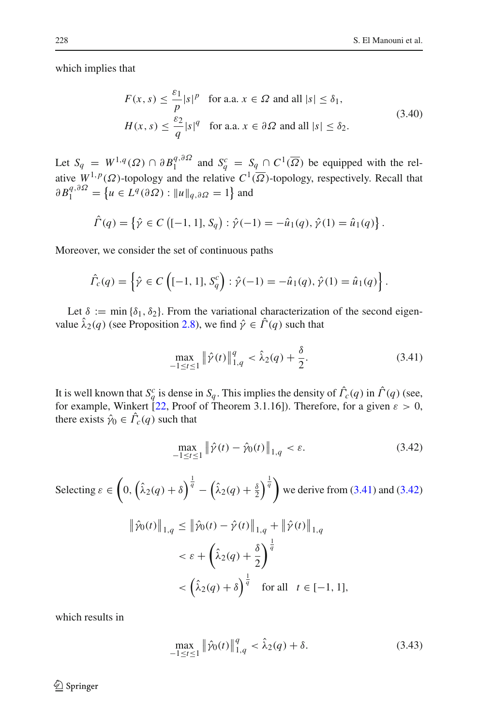<span id="page-25-2"></span>which implies that

$$
F(x, s) \le \frac{\varepsilon_1}{p} |s|^p \quad \text{for a.a. } x \in \Omega \text{ and all } |s| \le \delta_1,
$$
  

$$
H(x, s) \le \frac{\varepsilon_2}{q} |s|^q \quad \text{for a.a. } x \in \partial \Omega \text{ and all } |s| \le \delta_2.
$$
 (3.40)

Let  $S_q = W^{1,q}(\Omega) \cap \partial B_1^{q,\partial\Omega}$  and  $S_q^c = S_q \cap C^1(\overline{\Omega})$  be equipped with the relative  $W^{1,p}(\Omega)$ -topology and the relative  $C^1(\overline{\Omega})$ -topology, respectively. Recall that  $\partial B_1^{q, \partial \Omega} = \left\{ u \in L^q(\partial \Omega) : ||u||_{q, \partial \Omega} = 1 \right\}$  and

$$
\hat{\Gamma}(q) = \left\{ \hat{\gamma} \in C \left( [-1, 1], S_q \right) : \hat{\gamma}(-1) = -\hat{u}_1(q), \hat{\gamma}(1) = \hat{u}_1(q) \right\}.
$$

Moreover, we consider the set of continuous paths

$$
\hat{\Gamma}_c(q) = \left\{ \hat{\gamma} \in C \left( [-1, 1], S_q^c \right) : \hat{\gamma}(-1) = -\hat{u}_1(q), \hat{\gamma}(1) = \hat{u}_1(q) \right\}.
$$

Let  $\delta := \min {\delta_1, \delta_2}$ . From the variational characterization of the second eigenvalue  $\hat{\lambda}_2(q)$  (see Proposition [2.8\)](#page-7-4), we find  $\hat{\gamma} \in \hat{\Gamma}(q)$  such that

<span id="page-25-0"></span>
$$
\max_{-1 \le t \le 1} \|\hat{\gamma}(t)\|_{1,q}^q < \hat{\lambda}_2(q) + \frac{\delta}{2}.\tag{3.41}
$$

It is well known that  $S_q^c$  is dense in  $S_q$ . This implies the density of  $\hat{\Gamma}_c(q)$  in  $\hat{\Gamma}(q)$  (see, for example, Winkert [\[22,](#page-30-12) Proof of Theorem 3.1.16]). Therefore, for a given  $\varepsilon > 0$ , there exists  $\hat{\gamma}_0 \in \Gamma_c(q)$  such that

<span id="page-25-1"></span>
$$
\max_{-1 \le t \le 1} \| \hat{\gamma}(t) - \hat{\gamma}_0(t) \|_{1,q} < \varepsilon. \tag{3.42}
$$

Selecting 
$$
\varepsilon \in \left(0, \left(\hat{\lambda}_2(q) + \delta\right)^{\frac{1}{q}} - \left(\hat{\lambda}_2(q) + \frac{\delta}{2}\right)^{\frac{1}{q}}\right)
$$
 we derive from (3.41) and (3.42)  
\n
$$
\|\hat{\gamma}_0(t)\|_{1,q} \le \|\hat{\gamma}_0(t) - \hat{\gamma}(t)\|_{1,q} + \|\hat{\gamma}(t)\|_{1,q}
$$
\n
$$
< \varepsilon + \left(\hat{\lambda}_2(q) + \frac{\delta}{2}\right)^{\frac{1}{q}}
$$
\n
$$
< \left(\hat{\lambda}_2(q) + \delta\right)^{\frac{1}{q}} \quad \text{for all} \quad t \in [-1, 1],
$$

which results in

<span id="page-25-3"></span>
$$
\max_{-1 \le t \le 1} \|\hat{\gamma}_0(t)\|_{1,q}^q < \hat{\lambda}_2(q) + \delta. \tag{3.43}
$$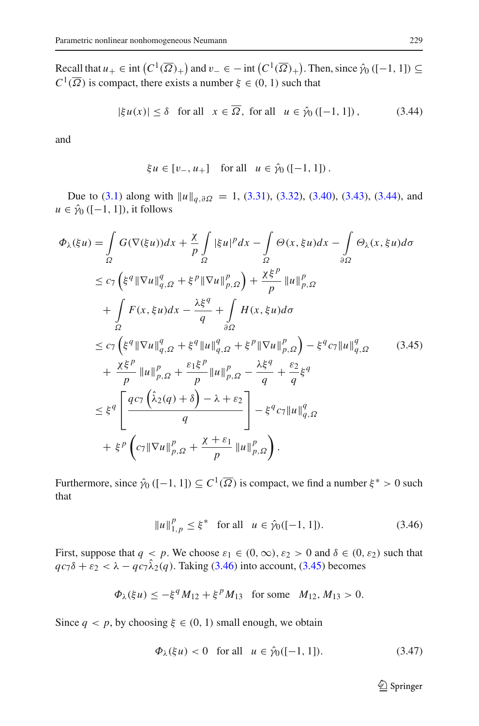Recall that  $u_+ \in \text{int}\left(C^1(\overline{\Omega})_+\right)$  and  $v_- \in -\text{int}\left(C^1(\overline{\Omega})_+\right)$ . Then, since  $\hat{\gamma}_0$  ([-1, 1])  $\subseteq$  $C^1(\overline{\Omega})$  is compact, there exists a number  $\xi \in (0, 1)$  such that

$$
|\xi u(x)| \le \delta \quad \text{for all} \quad x \in \overline{\Omega}, \text{ for all} \quad u \in \hat{\gamma}_0 \left( [-1, 1] \right), \tag{3.44}
$$

and

<span id="page-26-0"></span>
$$
\xi u \in [v_-, u_+]
$$
 for all  $u \in \hat{\gamma}_0([-1, 1])$ .

Due to [\(3.1\)](#page-8-2) along with  $||u||_{q,∂Ω} = 1$ , [\(3.31\)](#page-21-0), [\(3.32\)](#page-21-1), [\(3.40\)](#page-25-2), [\(3.43\)](#page-25-3), [\(3.44\)](#page-26-0), and  $u \in \hat{\gamma}_0$  ([-1, 1]), it follows

<span id="page-26-2"></span>
$$
\Phi_{\lambda}(\xi u) = \int_{\Omega} G(\nabla(\xi u)) dx + \frac{\chi}{p} \int_{\Omega} |\xi u|^p dx - \int_{\Omega} \Theta(x, \xi u) dx - \int_{\partial \Omega} \Theta_{\lambda}(x, \xi u) d\sigma
$$
  
\n
$$
\leq c_7 \left( \xi^q \|\nabla u\|_{q,\Omega}^q + \xi^p \|\nabla u\|_{p,\Omega}^p \right) + \frac{\chi \xi^p}{p} \|u\|_{p,\Omega}^p
$$
  
\n
$$
+ \int_{\Omega} F(x, \xi u) dx - \frac{\lambda \xi^q}{q} + \int_{\partial \Omega} H(x, \xi u) d\sigma
$$
  
\n
$$
\leq c_7 \left( \xi^q \|\nabla u\|_{q,\Omega}^q + \xi^q \|u\|_{q,\Omega}^q + \xi^p \|\nabla u\|_{p,\Omega}^p \right) - \xi^q c_7 \|u\|_{q,\Omega}^q \qquad (3.45)
$$
  
\n
$$
+ \frac{\chi \xi^p}{p} \|u\|_{p,\Omega}^p + \frac{\varepsilon_1 \xi^p}{p} \|u\|_{p,\Omega}^p - \frac{\lambda \xi^q}{q} + \frac{\varepsilon_2}{q} \xi^q
$$
  
\n
$$
\leq \xi^q \left[ \frac{qc_7 \left( \hat{\lambda}_2(q) + \delta \right) - \lambda + \varepsilon_2}{q} \right] - \xi^q c_7 \|u\|_{q,\Omega}^q
$$
  
\n
$$
+ \xi^p \left( c_7 \|\nabla u\|_{p,\Omega}^p + \frac{\chi + \varepsilon_1}{p} \|u\|_{p,\Omega}^p \right).
$$

Furthermore, since  $\hat{\gamma}_0$  ([−1, 1])  $\subseteq C^1(\overline{\Omega})$  is compact, we find a number  $\xi^* > 0$  such that

<span id="page-26-1"></span>
$$
||u||_{1,p}^{p} \le \xi^* \quad \text{for all} \quad u \in \hat{\gamma}_0([-1, 1]). \tag{3.46}
$$

First, suppose that  $q < p$ . We choose  $\varepsilon_1 \in (0, \infty)$ ,  $\varepsilon_2 > 0$  and  $\delta \in (0, \varepsilon_2)$  such that  $qc_7\delta + \varepsilon_2 < \lambda - qc_7\hat{\lambda}_2(q)$ . Taking [\(3.46\)](#page-26-1) into account, [\(3.45\)](#page-26-2) becomes

$$
\Phi_{\lambda}(\xi u) \le -\xi^q M_{12} + \xi^p M_{13}
$$
 for some  $M_{12}, M_{13} > 0$ .

Since  $q < p$ , by choosing  $\xi \in (0, 1)$  small enough, we obtain

<span id="page-26-3"></span>
$$
\Phi_{\lambda}(\xi u) < 0 \quad \text{for all} \quad u \in \hat{\gamma}_0([-1, 1]). \tag{3.47}
$$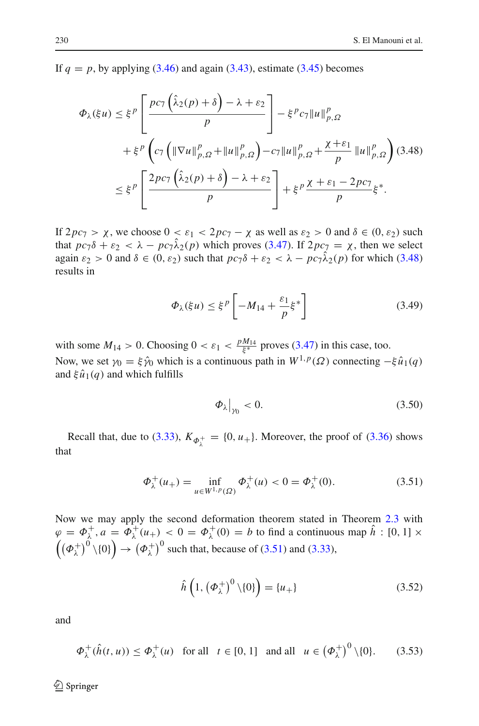If  $q = p$ , by applying [\(3.46\)](#page-26-1) and again [\(3.43\)](#page-25-3), estimate [\(3.45\)](#page-26-2) becomes

<span id="page-27-0"></span>
$$
\Phi_{\lambda}(\xi u) \leq \xi^{p} \left[ \frac{pc_{7} \left( \hat{\lambda}_{2}(p) + \delta \right) - \lambda + \varepsilon_{2}}{p} \right] - \xi^{p} c_{7} \| u \|_{p,\Omega}^{p}
$$
  
+ 
$$
\xi^{p} \left( c_{7} \left( \| \nabla u \|_{p,\Omega}^{p} + \| u \|_{p,\Omega}^{p} \right) - c_{7} \| u \|_{p,\Omega}^{p} + \frac{\chi + \varepsilon_{1}}{p} \| u \|_{p,\Omega}^{p} \right) (3.48)
$$
  

$$
\leq \xi^{p} \left[ \frac{2pc_{7} \left( \hat{\lambda}_{2}(p) + \delta \right) - \lambda + \varepsilon_{2}}{p} \right] + \xi^{p} \frac{\chi + \varepsilon_{1} - 2pc_{7}}{p} \xi^{*}.
$$

If  $2pc_7 > \chi$ , we choose  $0 < \varepsilon_1 < 2pc_7 - \chi$  as well as  $\varepsilon_2 > 0$  and  $\delta \in (0, \varepsilon_2)$  such that  $pc_7\delta + \varepsilon_2 < \lambda - pc_7\hat{\lambda}_2(p)$  which proves [\(3.47\)](#page-26-3). If  $2pc_7 = \chi$ , then we select again  $\varepsilon_2 > 0$  and  $\delta \in (0, \varepsilon_2)$  such that  $pc_7\delta + \varepsilon_2 < \lambda - pc_7\hat{\lambda}_2(p)$  for which [\(3.48\)](#page-27-0) results in

$$
\Phi_{\lambda}(\xi u) \le \xi^{p} \left[ -M_{14} + \frac{\varepsilon_1}{p} \xi^* \right] \tag{3.49}
$$

with some  $M_{14} > 0$ . Choosing  $0 < \varepsilon_1 < \frac{pM_{14}}{\xi^*}$  proves [\(3.47\)](#page-26-3) in this case, too. Now, we set  $\gamma_0 = \xi \hat{\gamma}_0$  which is a continuous path in  $W^{1,p}(\Omega)$  connecting  $-\xi \hat{u}_1(q)$ and  $\xi \hat{u}_1(q)$  and which fulfills

<span id="page-27-4"></span><span id="page-27-1"></span>
$$
\left.\Phi_\lambda\right|_{\gamma_0} < 0.\tag{3.50}
$$

Recall that, due to [\(3.33\)](#page-22-2),  $K_{\phi_{\lambda}^+} = \{0, u_+\}$ . Moreover, the proof of [\(3.36\)](#page-23-0) shows that

$$
\Phi_{\lambda}^{+}(u_{+}) = \inf_{u \in W^{1,p}(\Omega)} \Phi_{\lambda}^{+}(u) < 0 = \Phi_{\lambda}^{+}(0). \tag{3.51}
$$

Now we may apply the second deformation theorem stated in Theorem [2.3](#page-2-1) with  $\varphi = \Phi_{\lambda}^{+}, a = \Phi_{\lambda}^{+}(u_{+}) < 0 = \Phi_{\lambda}^{+}(0) = b$  to find a continuous map  $h : [0, 1] \times$  $((\phi_{\lambda}^+)^0 \setminus \{0\}) \to (\phi_{\lambda}^+)^0$  such that, because of [\(3.51\)](#page-27-1) and [\(3.33\)](#page-22-2),

<span id="page-27-3"></span><span id="page-27-2"></span>
$$
\hat{h}\left(1,\left(\Phi_{\lambda}^{+}\right)^{0}\setminus\{0\}\right)=\{u_{+}\}\tag{3.52}
$$

and

$$
\Phi_{\lambda}^{+}(\hat{h}(t, u)) \le \Phi_{\lambda}^{+}(u) \quad \text{for all} \quad t \in [0, 1] \quad \text{and all} \quad u \in \left(\Phi_{\lambda}^{+}\right)^{0} \setminus \{0\}. \tag{3.53}
$$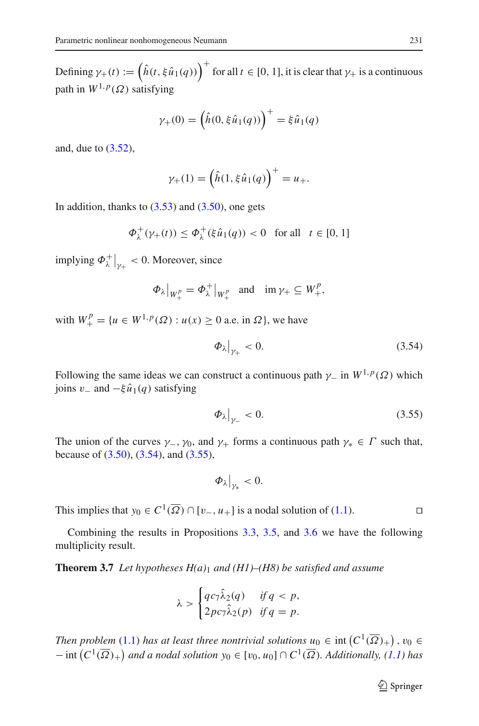Defining  $\gamma_+(t) := (\hat{h}(t, \xi \hat{u}_1(q)))$ <sup>+</sup> for all  $t \in [0, 1]$ , it is clear that  $\gamma_+$  is a continuous path in  $W^{1,p}(\Omega)$  satisfying

$$
\gamma_{+}(0) = (\hat{h}(0, \xi \hat{u}_1(q)))^{+} = \xi \hat{u}_1(q)
$$

and, due to [\(3.52\)](#page-27-2),

$$
\gamma_{+}(1) = \left(\hat{h}(1, \xi \hat{u}_1(q))\right)^{+} = u_{+}.
$$

In addition, thanks to  $(3.53)$  and  $(3.50)$ , one gets

$$
\Phi_{\lambda}^{+}(\gamma_{+}(t)) \le \Phi_{\lambda}^{+}(\xi \hat{u}_{1}(q)) < 0 \text{ for all } t \in [0, 1]
$$

implying  $\Phi_{\lambda}^{+}\big|_{\gamma_+} < 0$ . Moreover, since

$$
\Phi_{\lambda}|_{W_+^p} = \Phi_{\lambda}^+|_{W_+^p}
$$
 and  $\operatorname{im} \gamma_+ \subseteq W_+^p$ ,

with  $W_+^p = \{u \in W^{1,p}(\Omega) : u(x) \ge 0 \text{ a.e. in } \Omega\}$ , we have

<span id="page-28-0"></span>
$$
\left.\Phi_\lambda\right|_{\gamma_+} < 0.\tag{3.54}
$$

Following the same ideas we can construct a continuous path  $\gamma$  in  $W^{1,p}(\Omega)$  which joins v<sup>−</sup> and −ξ*u*ˆ1(*q*) satisfying

<span id="page-28-1"></span>
$$
\left.\Phi_\lambda\right|_{\gamma_-} < 0.\tag{3.55}
$$

The union of the curves  $\gamma_-, \gamma_0$ , and  $\gamma_+$  forms a continuous path  $\gamma_* \in \Gamma$  such that, because of [\(3.50\)](#page-27-4), [\(3.54\)](#page-28-0), and [\(3.55\)](#page-28-1),

$$
\Phi_\lambda\big|_{\gamma_*}<0.
$$

This implies that *y*<sub>0</sub> ∈  $C^1(\overline{\Omega}) \cap [v_-, u_+]$  is a nodal solution of [\(1.1\)](#page-1-0).

<span id="page-28-2"></span>Combining the results in Propositions [3.3,](#page-10-2) [3.5,](#page-18-2) and [3.6](#page-21-2) we have the following multiplicity result.

**Theorem 3.7** *Let hypotheses H(a)*<sup>1</sup> *and (H1)–(H8) be satisfied and assume*

$$
\lambda > \begin{cases} qc_7\hat{\lambda}_2(q) & \text{if } q < p, \\ 2pc_7\hat{\lambda}_2(p) & \text{if } q = p. \end{cases}
$$

*Then problem* [\(1.1\)](#page-1-0) *has at least three nontrivial solutions*  $u_0 \in \text{int}\left(C^1(\overline{\Omega})_+\right)$ ,  $v_0 \in$  $-$  int  $(C^1(\overline{\Omega})_+)$  and a nodal solution  $y_0 \in [v_0, u_0] \cap C^1(\overline{\Omega})$ . Additionally,  $(1.1)$  has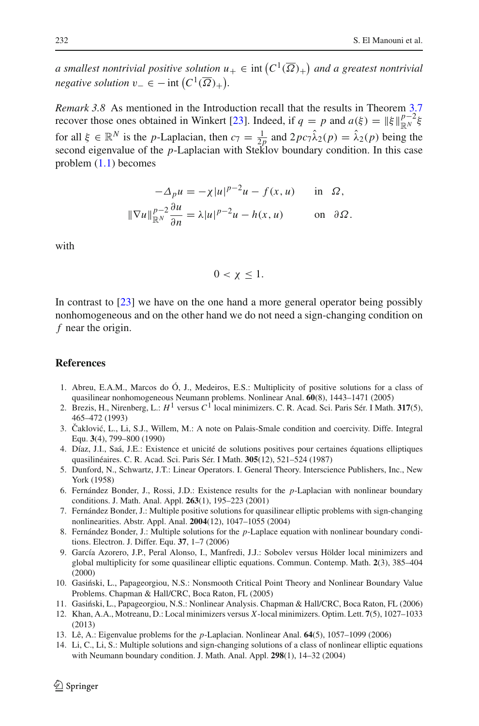*a smallest nontrivial positive solution*  $u_+ \in \text{int}\left(C^1(\overline{\Omega})_+\right)$  and a greatest nontrivial  $v_-\in$  $-$  *int*  $(C^1(\overline{\Omega})_+).$ 

*Remark 3.8* As mentioned in the Introduction recall that the results in Theorem [3.7](#page-28-2) recover those ones obtained in Winkert [\[23\]](#page-30-2). Indeed, if  $q = p$  and  $a(\xi) = ||\xi||_{\mathbb{R}^N}^{p-2} \xi$ for all  $\xi \in \mathbb{R}^N$  is the *p*-Laplacian, then  $c_7 = \frac{1}{2p}$  and  $2pc_7\hat{\lambda}_2(p) = \hat{\lambda}_2(p)$  being the second eigenvalue of the *p*-Laplacian with Steklov boundary condition. In this case problem [\(1.1\)](#page-1-0) becomes

$$
-\Delta_p u = -\chi |u|^{p-2} u - f(x, u) \quad \text{in } \Omega,
$$
  

$$
\|\nabla u\|_{\mathbb{R}^N}^{p-2} \frac{\partial u}{\partial n} = \lambda |u|^{p-2} u - h(x, u) \quad \text{on } \partial \Omega.
$$

with

$$
0 < \chi \leq 1.
$$

In contrast to [\[23](#page-30-2)] we have on the one hand a more general operator being possibly nonhomogeneous and on the other hand we do not need a sign-changing condition on *f* near the origin.

### <span id="page-29-0"></span>**References**

- 1. Abreu, E.A.M., Marcos do Ó, J., Medeiros, E.S.: Multiplicity of positive solutions for a class of quasilinear nonhomogeneous Neumann problems. Nonlinear Anal. **60**(8), 1443–1471 (2005)
- <span id="page-29-6"></span>2. Brezis, H., Nirenberg, L.: *H*<sup>1</sup> versus *C*<sup>1</sup> local minimizers. C. R. Acad. Sci. Paris Sér. I Math. **317**(5), 465–472 (1993)
- <span id="page-29-11"></span>3. Čaklović, L., Li, S.J., Willem, M.: A note on Palais-Smale condition and coercivity. Diffe. Integral Equ. **3**(4), 799–800 (1990)
- <span id="page-29-12"></span>4. Díaz, J.I., Saá, J.E.: Existence et unicité de solutions positives pour certaines équations elliptiques quasilinéaires. C. R. Acad. Sci. Paris Sér. I Math. **305**(12), 521–524 (1987)
- <span id="page-29-13"></span>5. Dunford, N., Schwartz, J.T.: Linear Operators. I. General Theory. Interscience Publishers, Inc., New York (1958)
- <span id="page-29-1"></span>6. Fernández Bonder, J., Rossi, J.D.: Existence results for the *p*-Laplacian with nonlinear boundary conditions. J. Math. Anal. Appl. **263**(1), 195–223 (2001)
- <span id="page-29-2"></span>7. Fernández Bonder, J.: Multiple positive solutions for quasilinear elliptic problems with sign-changing nonlinearities. Abstr. Appl. Anal. **2004**(12), 1047–1055 (2004)
- <span id="page-29-3"></span>8. Fernández Bonder, J.: Multiple solutions for the *p*-Laplace equation with nonlinear boundary conditions. Electron. J. Differ. Equ. **37**, 1–7 (2006)
- <span id="page-29-7"></span>9. García Azorero, J.P., Peral Alonso, I., Manfredi, J.J.: Sobolev versus Hölder local minimizers and global multiplicity for some quasilinear elliptic equations. Commun. Contemp. Math. **2**(3), 385–404 (2000)
- <span id="page-29-9"></span>10. Gasiński, L., Papageorgiou, N.S.: Nonsmooth Critical Point Theory and Nonlinear Boundary Value Problems. Chapman & Hall/CRC, Boca Raton, FL (2005)
- 11. Gasiński, L., Papageorgiou, N.S.: Nonlinear Analysis. Chapman & Hall/CRC, Boca Raton, FL (2006)
- <span id="page-29-8"></span><span id="page-29-5"></span>12. Khan, A.A., Motreanu, D.: Local minimizers versus *X*-local minimizers. Optim. Lett. **7**(5), 1027–1033 (2013)
- <span id="page-29-10"></span>13. Lê, A.: Eigenvalue problems for the *p*-Laplacian. Nonlinear Anal. **64**(5), 1057–1099 (2006)
- <span id="page-29-4"></span>14. Li, C., Li, S.: Multiple solutions and sign-changing solutions of a class of nonlinear elliptic equations with Neumann boundary condition. J. Math. Anal. Appl. **298**(1), 14–32 (2004)